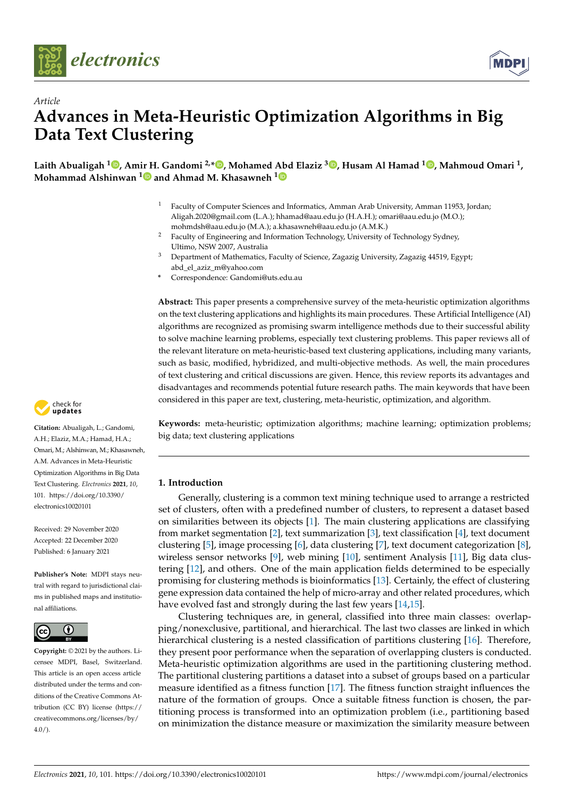

*Article*



# **Advances in Meta-Heuristic Optimization Algorithms in Big Data Text Clustering**

**Laith Abualigah <sup>1</sup> [,](https://orcid.org/0000-0002-2203-4549) Amir H. Gandomi 2,[\\*](https://orcid.org/0000-0002-2798-0104) , Mohamed Abd Elaziz <sup>3</sup> [,](https://orcid.org/0000-0002-7682-6269) Husam Al Hamad <sup>1</sup> [,](https://orcid.org/0000-0002-5530-1658) Mahmoud Omari <sup>1</sup> , Mohammad Alshinwan [1](https://orcid.org/0000-0002-3864-7323) and Ahmad M. Khasawneh [1](https://orcid.org/0000-0002-1850-3269)**

- <sup>1</sup> Faculty of Computer Sciences and Informatics, Amman Arab University, Amman 11953, Jordan; Aligah.2020@gmail.com (L.A.); hhamad@aau.edu.jo (H.A.H.); omari@aau.edu.jo (M.O.); mohmdsh@aau.edu.jo (M.A.); a.khasawneh@aau.edu.jo (A.M.K.)
- <sup>2</sup> Faculty of Engineering and Information Technology, University of Technology Sydney, Ultimo, NSW 2007, Australia
- <sup>3</sup> Department of Mathematics, Faculty of Science, Zagazig University, Zagazig 44519, Egypt; abd\_el\_aziz\_m@yahoo.com
- **\*** Correspondence: Gandomi@uts.edu.au

**Abstract:** This paper presents a comprehensive survey of the meta-heuristic optimization algorithms on the text clustering applications and highlights its main procedures. These Artificial Intelligence (AI) algorithms are recognized as promising swarm intelligence methods due to their successful ability to solve machine learning problems, especially text clustering problems. This paper reviews all of the relevant literature on meta-heuristic-based text clustering applications, including many variants, such as basic, modified, hybridized, and multi-objective methods. As well, the main procedures of text clustering and critical discussions are given. Hence, this review reports its advantages and disadvantages and recommends potential future research paths. The main keywords that have been considered in this paper are text, clustering, meta-heuristic, optimization, and algorithm.

**Keywords:** meta-heuristic; optimization algorithms; machine learning; optimization problems; big data; text clustering applications

# **1. Introduction**

Generally, clustering is a common text mining technique used to arrange a restricted set of clusters, often with a predefined number of clusters, to represent a dataset based on similarities between its objects [\[1\]](#page-23-0). The main clustering applications are classifying from market segmentation [\[2\]](#page-23-1), text summarization [\[3\]](#page-23-2), text classification [\[4\]](#page-23-3), text document clustering [\[5\]](#page-23-4), image processing [\[6\]](#page-23-5), data clustering [\[7\]](#page-23-6), text document categorization [\[8\]](#page-23-7), wireless sensor networks [\[9\]](#page-23-8), web mining [\[10\]](#page-23-9), sentiment Analysis [\[11\]](#page-23-10), Big data clustering [\[12\]](#page-23-11), and others. One of the main application fields determined to be especially promising for clustering methods is bioinformatics [\[13\]](#page-23-12). Certainly, the effect of clustering gene expression data contained the help of micro-array and other related procedures, which have evolved fast and strongly during the last few years [\[14,](#page-23-13)[15\]](#page-23-14).

Clustering techniques are, in general, classified into three main classes: overlapping/nonexclusive, partitional, and hierarchical. The last two classes are linked in which hierarchical clustering is a nested classification of partitions clustering [\[16\]](#page-23-15). Therefore, they present poor performance when the separation of overlapping clusters is conducted. Meta-heuristic optimization algorithms are used in the partitioning clustering method. The partitional clustering partitions a dataset into a subset of groups based on a particular measure identified as a fitness function [\[17\]](#page-23-16). The fitness function straight influences the nature of the formation of groups. Once a suitable fitness function is chosen, the partitioning process is transformed into an optimization problem (i.e., partitioning based on minimization the distance measure or maximization the similarity measure between



**Citation:** Abualigah, L.; Gandomi, A.H.; Elaziz, M.A.; Hamad, H.A.; Omari, M.; Alshinwan, M.; Khasawneh, A.M. Advances in Meta-Heuristic Optimization Algorithms in Big Data Text Clustering. *Electronics* **2021**, *10*, 101. [https://doi.org/10.3390/](https://doi.org/10.3390/electronics10020101) [electronics10020101](https://doi.org/10.3390/electronics10020101)

Received: 29 November 2020 Accepted: 22 December 2020 Published: 6 January 2021

**Publisher's Note:** MDPI stays neutral with regard to jurisdictional claims in published maps and institutional affiliations.



**Copyright:** © 2021 by the authors. Licensee MDPI, Basel, Switzerland. This article is an open access article distributed under the terms and conditions of the Creative Commons Attribution (CC BY) license [\(https://](https://creativecommons.org/licenses/by/4.0/) [creativecommons.org/licenses/by/](https://creativecommons.org/licenses/by/4.0/) [4.0/\)](https://creativecommons.org/licenses/by/4.0/).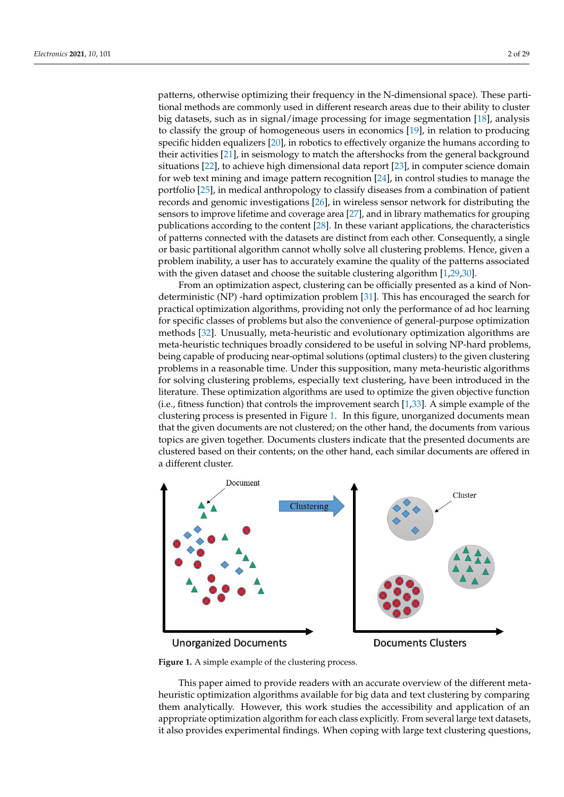patterns, otherwise optimizing their frequency in the N-dimensional space). These partitional methods are commonly used in different research areas due to their ability to cluster big datasets, such as in signal/image processing for image segmentation [\[18\]](#page-23-17), analysis to classify the group of homogeneous users in economics [\[19\]](#page-23-18), in relation to producing specific hidden equalizers [\[20\]](#page-23-19), in robotics to effectively organize the humans according to their activities [\[21\]](#page-23-20), in seismology to match the aftershocks from the general background situations [\[22\]](#page-23-21), to achieve high dimensional data report [\[23\]](#page-23-22), in computer science domain for web text mining and image pattern recognition [\[24\]](#page-23-23), in control studies to manage the portfolio [\[25\]](#page-23-24), in medical anthropology to classify diseases from a combination of patient records and genomic investigations [\[26\]](#page-23-25), in wireless sensor network for distributing the sensors to improve lifetime and coverage area [\[27\]](#page-23-26), and in library mathematics for grouping publications according to the content [\[28\]](#page-23-27). In these variant applications, the characteristics of patterns connected with the datasets are distinct from each other. Consequently, a single or basic partitional algorithm cannot wholly solve all clustering problems. Hence, given a problem inability, a user has to accurately examine the quality of the patterns associated with the given dataset and choose the suitable clustering algorithm [\[1](#page-23-0)[,29](#page-23-28)[,30\]](#page-23-29).

From an optimization aspect, clustering can be officially presented as a kind of Nondeterministic (NP) -hard optimization problem [\[31\]](#page-24-0). This has encouraged the search for practical optimization algorithms, providing not only the performance of ad hoc learning for specific classes of problems but also the convenience of general-purpose optimization methods [\[32\]](#page-24-1). Unusually, meta-heuristic and evolutionary optimization algorithms are meta-heuristic techniques broadly considered to be useful in solving NP-hard problems, being capable of producing near-optimal solutions (optimal clusters) to the given clustering problems in a reasonable time. Under this supposition, many meta-heuristic algorithms for solving clustering problems, especially text clustering, have been introduced in the literature. These optimization algorithms are used to optimize the given objective function (i.e., fitness function) that controls the improvement search [\[1](#page-23-0)[,33\]](#page-24-2). A simple example of the clustering process is presented in Figure [1.](#page-1-0) In this figure, unorganized documents mean that the given documents are not clustered; on the other hand, the documents from various topics are given together. Documents clusters indicate that the presented documents are clustered based on their contents; on the other hand, each similar documents are offered in a different cluster.

<span id="page-1-0"></span>

# **Unorganized Documents**

**Documents Clusters** 

**Figure 1.** A simple example of the clustering process.

This paper aimed to provide readers with an accurate overview of the different metaheuristic optimization algorithms available for big data and text clustering by comparing them analytically. However, this work studies the accessibility and application of an appropriate optimization algorithm for each class explicitly. From several large text datasets, it also provides experimental findings. When coping with large text clustering questions,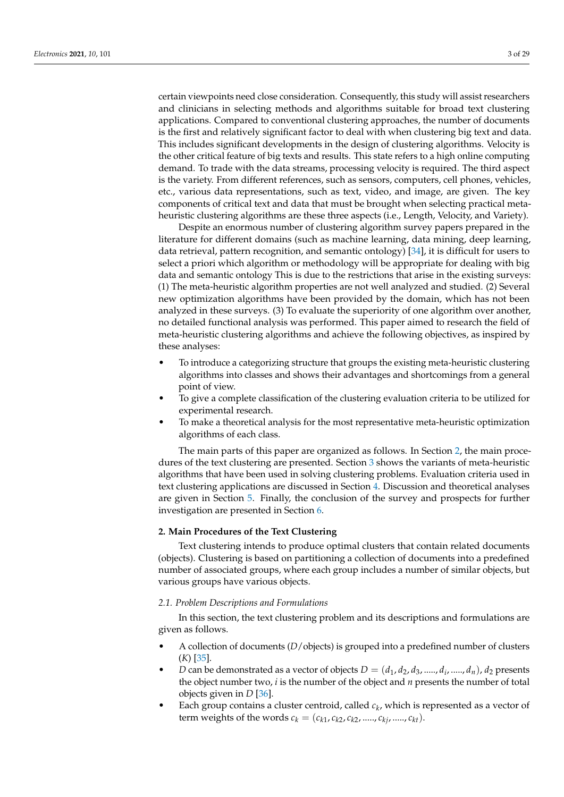certain viewpoints need close consideration. Consequently, this study will assist researchers and clinicians in selecting methods and algorithms suitable for broad text clustering applications. Compared to conventional clustering approaches, the number of documents is the first and relatively significant factor to deal with when clustering big text and data. This includes significant developments in the design of clustering algorithms. Velocity is the other critical feature of big texts and results. This state refers to a high online computing demand. To trade with the data streams, processing velocity is required. The third aspect is the variety. From different references, such as sensors, computers, cell phones, vehicles, etc., various data representations, such as text, video, and image, are given. The key components of critical text and data that must be brought when selecting practical metaheuristic clustering algorithms are these three aspects (i.e., Length, Velocity, and Variety).

Despite an enormous number of clustering algorithm survey papers prepared in the literature for different domains (such as machine learning, data mining, deep learning, data retrieval, pattern recognition, and semantic ontology) [\[34\]](#page-24-3), it is difficult for users to select a priori which algorithm or methodology will be appropriate for dealing with big data and semantic ontology This is due to the restrictions that arise in the existing surveys: (1) The meta-heuristic algorithm properties are not well analyzed and studied. (2) Several new optimization algorithms have been provided by the domain, which has not been analyzed in these surveys. (3) To evaluate the superiority of one algorithm over another, no detailed functional analysis was performed. This paper aimed to research the field of meta-heuristic clustering algorithms and achieve the following objectives, as inspired by these analyses:

- To introduce a categorizing structure that groups the existing meta-heuristic clustering algorithms into classes and shows their advantages and shortcomings from a general point of view.
- To give a complete classification of the clustering evaluation criteria to be utilized for experimental research.
- To make a theoretical analysis for the most representative meta-heuristic optimization algorithms of each class.

The main parts of this paper are organized as follows. In Section [2,](#page-2-0) the main procedures of the text clustering are presented. Section [3](#page-5-0) shows the variants of meta-heuristic algorithms that have been used in solving clustering problems. Evaluation criteria used in text clustering applications are discussed in Section [4.](#page-19-0) Discussion and theoretical analyses are given in Section [5.](#page-21-0) Finally, the conclusion of the survey and prospects for further investigation are presented in Section [6.](#page-22-0)

# <span id="page-2-0"></span>**2. Main Procedures of the Text Clustering**

Text clustering intends to produce optimal clusters that contain related documents (objects). Clustering is based on partitioning a collection of documents into a predefined number of associated groups, where each group includes a number of similar objects, but various groups have various objects.

#### *2.1. Problem Descriptions and Formulations*

In this section, the text clustering problem and its descriptions and formulations are given as follows.

- A collection of documents (*D*/objects) is grouped into a predefined number of clusters (*K*) [\[35\]](#page-24-4).
- *D* can be demonstrated as a vector of objects  $D = (d_1, d_2, d_3, \ldots, d_i, \ldots, d_n)$ ,  $d_2$  presents the object number two, *i* is the number of the object and *n* presents the number of total objects given in *D* [\[36\]](#page-24-5).
- Each group contains a cluster centroid, called *c<sup>k</sup>* , which is represented as a vector of term weights of the words  $c_k = (c_{k1}, c_{k2}, c_{k2}, \ldots, c_{kj}, \ldots, c_{kt}).$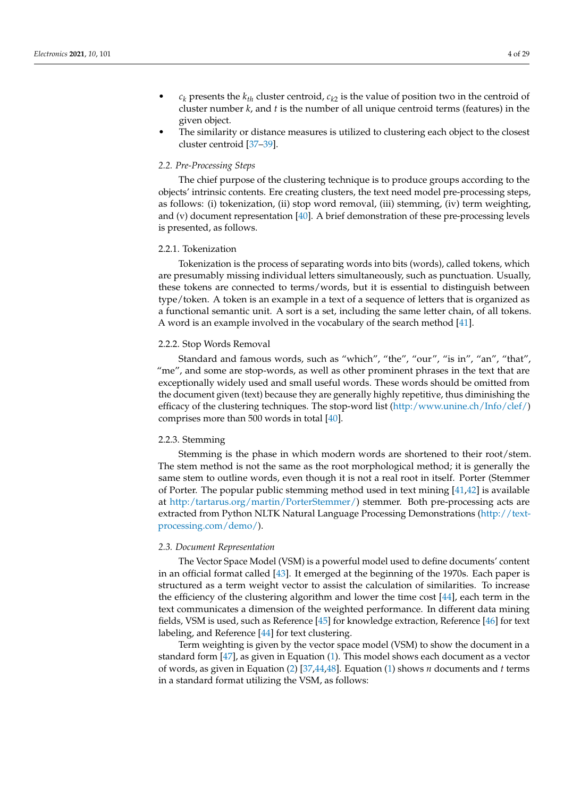- $c_k$  presents the  $k_{th}$  cluster centroid,  $c_{k2}$  is the value of position two in the centroid of cluster number *k*, and *t* is the number of all unique centroid terms (features) in the given object.
- The similarity or distance measures is utilized to clustering each object to the closest cluster centroid [\[37](#page-24-6)[–39\]](#page-24-7).

# *2.2. Pre-Processing Steps*

The chief purpose of the clustering technique is to produce groups according to the objects' intrinsic contents. Ere creating clusters, the text need model pre-processing steps, as follows: (i) tokenization, (ii) stop word removal, (iii) stemming, (iv) term weighting, and (v) document representation [\[40\]](#page-24-8). A brief demonstration of these pre-processing levels is presented, as follows.

## 2.2.1. Tokenization

Tokenization is the process of separating words into bits (words), called tokens, which are presumably missing individual letters simultaneously, such as punctuation. Usually, these tokens are connected to terms/words, but it is essential to distinguish between type/token. A token is an example in a text of a sequence of letters that is organized as a functional semantic unit. A sort is a set, including the same letter chain, of all tokens. A word is an example involved in the vocabulary of the search method [\[41\]](#page-24-9).

#### 2.2.2. Stop Words Removal

Standard and famous words, such as "which", "the", "our", "is in", "an", "that", "me", and some are stop-words, as well as other prominent phrases in the text that are exceptionally widely used and small useful words. These words should be omitted from the document given (text) because they are generally highly repetitive, thus diminishing the efficacy of the clustering techniques. The stop-word list [\(http:/www.unine.ch/Info/clef/\)](http:/www.unine.ch/Info/clef/) comprises more than 500 words in total [\[40\]](#page-24-8).

# 2.2.3. Stemming

Stemming is the phase in which modern words are shortened to their root/stem. The stem method is not the same as the root morphological method; it is generally the same stem to outline words, even though it is not a real root in itself. Porter (Stemmer of Porter. The popular public stemming method used in text mining [\[41](#page-24-9)[,42\]](#page-24-10) is available at [http:/tartarus.org/martin/PorterStemmer/\)](http:/tartarus.org/martin/PorterStemmer/) stemmer. Both pre-processing acts are extracted from Python NLTK Natural Language Processing Demonstrations [\(http://text](http://text-processing.com/demo/)[processing.com/demo/\)](http://text-processing.com/demo/).

# *2.3. Document Representation*

The Vector Space Model (VSM) is a powerful model used to define documents' content in an official format called [\[43\]](#page-24-11). It emerged at the beginning of the 1970s. Each paper is structured as a term weight vector to assist the calculation of similarities. To increase the efficiency of the clustering algorithm and lower the time cost [\[44\]](#page-24-12), each term in the text communicates a dimension of the weighted performance. In different data mining fields, VSM is used, such as Reference [\[45\]](#page-24-13) for knowledge extraction, Reference [\[46\]](#page-24-14) for text labeling, and Reference [\[44\]](#page-24-12) for text clustering.

Term weighting is given by the vector space model (VSM) to show the document in a standard form [\[47\]](#page-24-15), as given in Equation [\(1\)](#page-4-0). This model shows each document as a vector of words, as given in Equation [\(2\)](#page-4-1) [\[37](#page-24-6)[,44](#page-24-12)[,48\]](#page-24-16). Equation [\(1\)](#page-4-0) shows *n* documents and *t* terms in a standard format utilizing the VSM, as follows: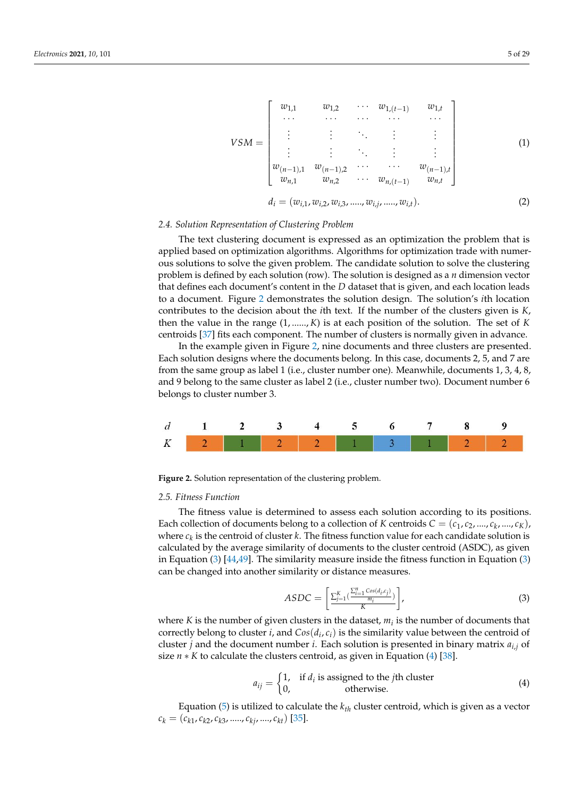<span id="page-4-1"></span><span id="page-4-0"></span>

## *2.4. Solution Representation of Clustering Problem*

The text clustering document is expressed as an optimization the problem that is applied based on optimization algorithms. Algorithms for optimization trade with numerous solutions to solve the given problem. The candidate solution to solve the clustering problem is defined by each solution (row). The solution is designed as a *n* dimension vector that defines each document's content in the *D* dataset that is given, and each location leads to a document. Figure [2](#page-4-2) demonstrates the solution design. The solution's *i*th location contributes to the decision about the *i*th text. If the number of the clusters given is *K*, then the value in the range (1, ......, *K*) is at each position of the solution. The set of *K* centroids [\[37\]](#page-24-6) fits each component. The number of clusters is normally given in advance.

In the example given in Figure [2,](#page-4-2) nine documents and three clusters are presented. Each solution designs where the documents belong. In this case, documents 2, 5, and 7 are from the same group as label 1 (i.e., cluster number one). Meanwhile, documents 1, 3, 4, 8, and 9 belong to the same cluster as label 2 (i.e., cluster number two). Document number 6 belongs to cluster number 3.

<span id="page-4-2"></span>

**Figure 2.** Solution representation of the clustering problem.

# *2.5. Fitness Function*

The fitness value is determined to assess each solution according to its positions. Each collection of documents belong to a collection of *K* centroids  $C = (c_1, c_2, ..., c_k, ..., c_K)$ , where  $c_k$  is the centroid of cluster  $k$ . The fitness function value for each candidate solution is calculated by the average similarity of documents to the cluster centroid (ASDC), as given in Equation  $(3)$  [\[44](#page-24-12)[,49\]](#page-24-17). The similarity measure inside the fitness function in Equation  $(3)$ can be changed into another similarity or distance measures.

<span id="page-4-3"></span>
$$
ASDC = \left[ \frac{\sum_{j=1}^{K} \left( \frac{\sum_{i=1}^{n} \cos(d_i, c_j)}{m_i} \right)}{K} \right],
$$
\n(3)

where *K* is the number of given clusters in the dataset,  $m_i$  is the number of documents that correctly belong to cluster *i*, and  $Cos(d_i, c_i)$  is the similarity value between the centroid of cluster *j* and the document number *i*. Each solution is presented in binary matrix *ai*,*<sup>j</sup>* of size *n* ∗ *K* to calculate the clusters centroid, as given in Equation [\(4\)](#page-4-4) [\[38\]](#page-24-18).

<span id="page-4-4"></span>
$$
a_{ij} = \begin{cases} 1, & \text{if } d_i \text{ is assigned to the } j\text{th cluster} \\ 0, & \text{otherwise.} \end{cases}
$$
(4)

Equation [\(5\)](#page-5-1) is utilized to calculate the *kth* cluster centroid, which is given as a vector  $c_k = (c_{k1}, c_{k2}, c_{k3}, \ldots, c_{kj}, \ldots, c_{kt})$  [\[35\]](#page-24-4).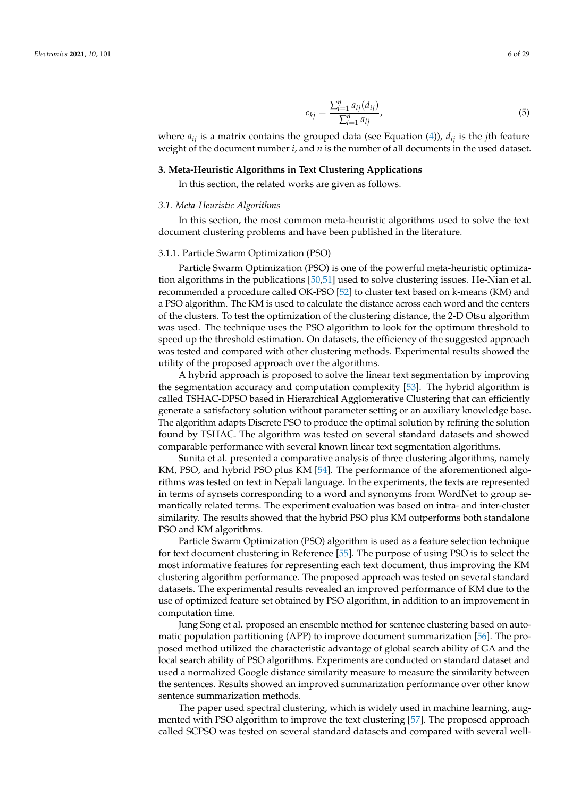<span id="page-5-1"></span>
$$
c_{kj} = \frac{\sum_{i=1}^{n} a_{ij}(d_{ij})}{\sum_{i=1}^{n} a_{ij}},
$$
\n(5)

where  $a_{ij}$  is a matrix contains the grouped data (see Equation [\(4\)](#page-4-4)),  $d_{ij}$  is the *j*th feature weight of the document number *i*, and *n* is the number of all documents in the used dataset.

# <span id="page-5-0"></span>**3. Meta-Heuristic Algorithms in Text Clustering Applications**

In this section, the related works are given as follows.

#### *3.1. Meta-Heuristic Algorithms*

In this section, the most common meta-heuristic algorithms used to solve the text document clustering problems and have been published in the literature.

#### 3.1.1. Particle Swarm Optimization (PSO)

Particle Swarm Optimization (PSO) is one of the powerful meta-heuristic optimization algorithms in the publications [\[50,](#page-24-19)[51\]](#page-24-20) used to solve clustering issues. He-Nian et al. recommended a procedure called OK-PSO [\[52\]](#page-24-21) to cluster text based on k-means (KM) and a PSO algorithm. The KM is used to calculate the distance across each word and the centers of the clusters. To test the optimization of the clustering distance, the 2-D Otsu algorithm was used. The technique uses the PSO algorithm to look for the optimum threshold to speed up the threshold estimation. On datasets, the efficiency of the suggested approach was tested and compared with other clustering methods. Experimental results showed the utility of the proposed approach over the algorithms.

A hybrid approach is proposed to solve the linear text segmentation by improving the segmentation accuracy and computation complexity [\[53\]](#page-24-22). The hybrid algorithm is called TSHAC-DPSO based in Hierarchical Agglomerative Clustering that can efficiently generate a satisfactory solution without parameter setting or an auxiliary knowledge base. The algorithm adapts Discrete PSO to produce the optimal solution by refining the solution found by TSHAC. The algorithm was tested on several standard datasets and showed comparable performance with several known linear text segmentation algorithms.

Sunita et al. presented a comparative analysis of three clustering algorithms, namely KM, PSO, and hybrid PSO plus KM [\[54\]](#page-24-23). The performance of the aforementioned algorithms was tested on text in Nepali language. In the experiments, the texts are represented in terms of synsets corresponding to a word and synonyms from WordNet to group semantically related terms. The experiment evaluation was based on intra- and inter-cluster similarity. The results showed that the hybrid PSO plus KM outperforms both standalone PSO and KM algorithms.

Particle Swarm Optimization (PSO) algorithm is used as a feature selection technique for text document clustering in Reference [\[55\]](#page-24-24). The purpose of using PSO is to select the most informative features for representing each text document, thus improving the KM clustering algorithm performance. The proposed approach was tested on several standard datasets. The experimental results revealed an improved performance of KM due to the use of optimized feature set obtained by PSO algorithm, in addition to an improvement in computation time.

Jung Song et al. proposed an ensemble method for sentence clustering based on automatic population partitioning (APP) to improve document summarization [\[56\]](#page-24-25). The proposed method utilized the characteristic advantage of global search ability of GA and the local search ability of PSO algorithms. Experiments are conducted on standard dataset and used a normalized Google distance similarity measure to measure the similarity between the sentences. Results showed an improved summarization performance over other know sentence summarization methods.

The paper used spectral clustering, which is widely used in machine learning, augmented with PSO algorithm to improve the text clustering [\[57\]](#page-24-26). The proposed approach called SCPSO was tested on several standard datasets and compared with several well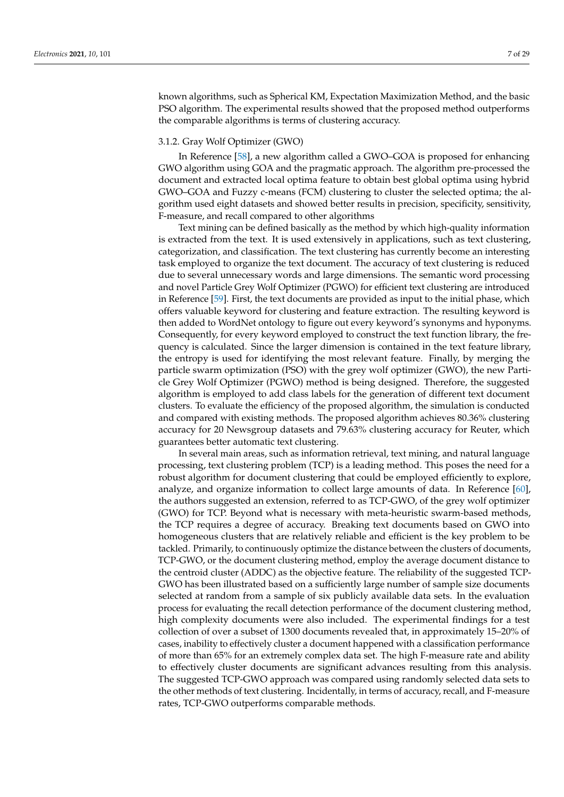known algorithms, such as Spherical KM, Expectation Maximization Method, and the basic PSO algorithm. The experimental results showed that the proposed method outperforms the comparable algorithms is terms of clustering accuracy.

## 3.1.2. Gray Wolf Optimizer (GWO)

In Reference [\[58\]](#page-24-27), a new algorithm called a GWO–GOA is proposed for enhancing GWO algorithm using GOA and the pragmatic approach. The algorithm pre-processed the document and extracted local optima feature to obtain best global optima using hybrid GWO–GOA and Fuzzy c-means (FCM) clustering to cluster the selected optima; the algorithm used eight datasets and showed better results in precision, specificity, sensitivity, F-measure, and recall compared to other algorithms

Text mining can be defined basically as the method by which high-quality information is extracted from the text. It is used extensively in applications, such as text clustering, categorization, and classification. The text clustering has currently become an interesting task employed to organize the text document. The accuracy of text clustering is reduced due to several unnecessary words and large dimensions. The semantic word processing and novel Particle Grey Wolf Optimizer (PGWO) for efficient text clustering are introduced in Reference [\[59\]](#page-24-28). First, the text documents are provided as input to the initial phase, which offers valuable keyword for clustering and feature extraction. The resulting keyword is then added to WordNet ontology to figure out every keyword's synonyms and hyponyms. Consequently, for every keyword employed to construct the text function library, the frequency is calculated. Since the larger dimension is contained in the text feature library, the entropy is used for identifying the most relevant feature. Finally, by merging the particle swarm optimization (PSO) with the grey wolf optimizer (GWO), the new Particle Grey Wolf Optimizer (PGWO) method is being designed. Therefore, the suggested algorithm is employed to add class labels for the generation of different text document clusters. To evaluate the efficiency of the proposed algorithm, the simulation is conducted and compared with existing methods. The proposed algorithm achieves 80.36% clustering accuracy for 20 Newsgroup datasets and 79.63% clustering accuracy for Reuter, which guarantees better automatic text clustering.

In several main areas, such as information retrieval, text mining, and natural language processing, text clustering problem (TCP) is a leading method. This poses the need for a robust algorithm for document clustering that could be employed efficiently to explore, analyze, and organize information to collect large amounts of data. In Reference [\[60\]](#page-24-29), the authors suggested an extension, referred to as TCP-GWO, of the grey wolf optimizer (GWO) for TCP. Beyond what is necessary with meta-heuristic swarm-based methods, the TCP requires a degree of accuracy. Breaking text documents based on GWO into homogeneous clusters that are relatively reliable and efficient is the key problem to be tackled. Primarily, to continuously optimize the distance between the clusters of documents, TCP-GWO, or the document clustering method, employ the average document distance to the centroid cluster (ADDC) as the objective feature. The reliability of the suggested TCP-GWO has been illustrated based on a sufficiently large number of sample size documents selected at random from a sample of six publicly available data sets. In the evaluation process for evaluating the recall detection performance of the document clustering method, high complexity documents were also included. The experimental findings for a test collection of over a subset of 1300 documents revealed that, in approximately 15–20% of cases, inability to effectively cluster a document happened with a classification performance of more than 65% for an extremely complex data set. The high F-measure rate and ability to effectively cluster documents are significant advances resulting from this analysis. The suggested TCP-GWO approach was compared using randomly selected data sets to the other methods of text clustering. Incidentally, in terms of accuracy, recall, and F-measure rates, TCP-GWO outperforms comparable methods.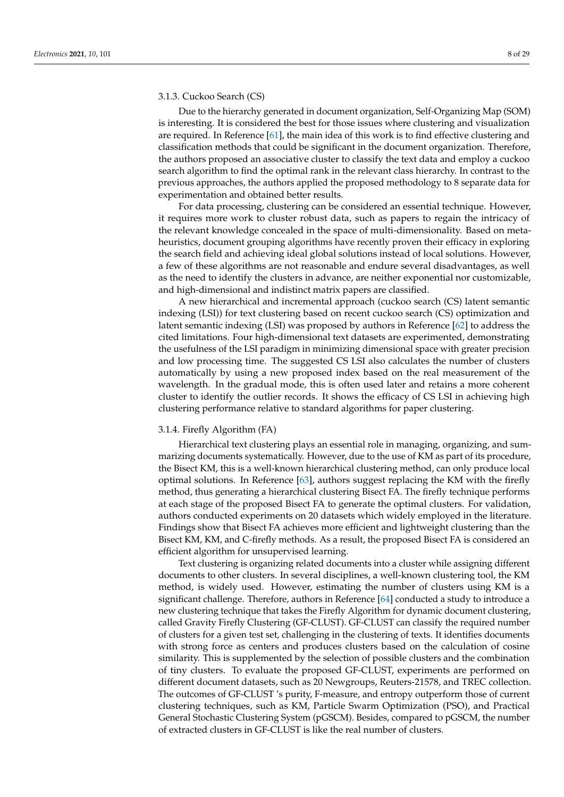# 3.1.3. Cuckoo Search (CS)

Due to the hierarchy generated in document organization, Self-Organizing Map (SOM) is interesting. It is considered the best for those issues where clustering and visualization are required. In Reference [\[61\]](#page-24-30), the main idea of this work is to find effective clustering and classification methods that could be significant in the document organization. Therefore, the authors proposed an associative cluster to classify the text data and employ a cuckoo search algorithm to find the optimal rank in the relevant class hierarchy. In contrast to the previous approaches, the authors applied the proposed methodology to 8 separate data for experimentation and obtained better results.

For data processing, clustering can be considered an essential technique. However, it requires more work to cluster robust data, such as papers to regain the intricacy of the relevant knowledge concealed in the space of multi-dimensionality. Based on metaheuristics, document grouping algorithms have recently proven their efficacy in exploring the search field and achieving ideal global solutions instead of local solutions. However, a few of these algorithms are not reasonable and endure several disadvantages, as well as the need to identify the clusters in advance, are neither exponential nor customizable, and high-dimensional and indistinct matrix papers are classified.

A new hierarchical and incremental approach (cuckoo search (CS) latent semantic indexing (LSI)) for text clustering based on recent cuckoo search (CS) optimization and latent semantic indexing (LSI) was proposed by authors in Reference [\[62\]](#page-25-0) to address the cited limitations. Four high-dimensional text datasets are experimented, demonstrating the usefulness of the LSI paradigm in minimizing dimensional space with greater precision and low processing time. The suggested CS LSI also calculates the number of clusters automatically by using a new proposed index based on the real measurement of the wavelength. In the gradual mode, this is often used later and retains a more coherent cluster to identify the outlier records. It shows the efficacy of CS LSI in achieving high clustering performance relative to standard algorithms for paper clustering.

# 3.1.4. Firefly Algorithm (FA)

Hierarchical text clustering plays an essential role in managing, organizing, and summarizing documents systematically. However, due to the use of KM as part of its procedure, the Bisect KM, this is a well-known hierarchical clustering method, can only produce local optimal solutions. In Reference [\[63\]](#page-25-1), authors suggest replacing the KM with the firefly method, thus generating a hierarchical clustering Bisect FA. The firefly technique performs at each stage of the proposed Bisect FA to generate the optimal clusters. For validation, authors conducted experiments on 20 datasets which widely employed in the literature. Findings show that Bisect FA achieves more efficient and lightweight clustering than the Bisect KM, KM, and C-firefly methods. As a result, the proposed Bisect FA is considered an efficient algorithm for unsupervised learning.

Text clustering is organizing related documents into a cluster while assigning different documents to other clusters. In several disciplines, a well-known clustering tool, the KM method, is widely used. However, estimating the number of clusters using KM is a significant challenge. Therefore, authors in Reference [\[64\]](#page-25-2) conducted a study to introduce a new clustering technique that takes the Firefly Algorithm for dynamic document clustering, called Gravity Firefly Clustering (GF-CLUST). GF-CLUST can classify the required number of clusters for a given test set, challenging in the clustering of texts. It identifies documents with strong force as centers and produces clusters based on the calculation of cosine similarity. This is supplemented by the selection of possible clusters and the combination of tiny clusters. To evaluate the proposed GF-CLUST, experiments are performed on different document datasets, such as 20 Newgroups, Reuters-21578, and TREC collection. The outcomes of GF-CLUST 's purity, F-measure, and entropy outperform those of current clustering techniques, such as KM, Particle Swarm Optimization (PSO), and Practical General Stochastic Clustering System (pGSCM). Besides, compared to pGSCM, the number of extracted clusters in GF-CLUST is like the real number of clusters.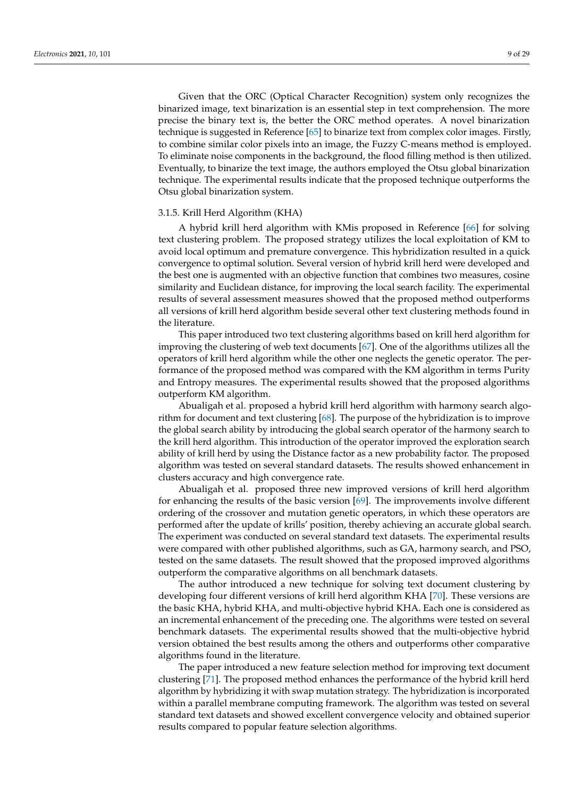Given that the ORC (Optical Character Recognition) system only recognizes the binarized image, text binarization is an essential step in text comprehension. The more precise the binary text is, the better the ORC method operates. A novel binarization technique is suggested in Reference [\[65\]](#page-25-3) to binarize text from complex color images. Firstly, to combine similar color pixels into an image, the Fuzzy C-means method is employed. To eliminate noise components in the background, the flood filling method is then utilized. Eventually, to binarize the text image, the authors employed the Otsu global binarization technique. The experimental results indicate that the proposed technique outperforms the Otsu global binarization system.

## 3.1.5. Krill Herd Algorithm (KHA)

A hybrid krill herd algorithm with KMis proposed in Reference [\[66\]](#page-25-4) for solving text clustering problem. The proposed strategy utilizes the local exploitation of KM to avoid local optimum and premature convergence. This hybridization resulted in a quick convergence to optimal solution. Several version of hybrid krill herd were developed and the best one is augmented with an objective function that combines two measures, cosine similarity and Euclidean distance, for improving the local search facility. The experimental results of several assessment measures showed that the proposed method outperforms all versions of krill herd algorithm beside several other text clustering methods found in the literature.

This paper introduced two text clustering algorithms based on krill herd algorithm for improving the clustering of web text documents [\[67\]](#page-25-5). One of the algorithms utilizes all the operators of krill herd algorithm while the other one neglects the genetic operator. The performance of the proposed method was compared with the KM algorithm in terms Purity and Entropy measures. The experimental results showed that the proposed algorithms outperform KM algorithm.

Abualigah et al. proposed a hybrid krill herd algorithm with harmony search algorithm for document and text clustering [\[68\]](#page-25-6). The purpose of the hybridization is to improve the global search ability by introducing the global search operator of the harmony search to the krill herd algorithm. This introduction of the operator improved the exploration search ability of krill herd by using the Distance factor as a new probability factor. The proposed algorithm was tested on several standard datasets. The results showed enhancement in clusters accuracy and high convergence rate.

Abualigah et al. proposed three new improved versions of krill herd algorithm for enhancing the results of the basic version [\[69\]](#page-25-7). The improvements involve different ordering of the crossover and mutation genetic operators, in which these operators are performed after the update of krills' position, thereby achieving an accurate global search. The experiment was conducted on several standard text datasets. The experimental results were compared with other published algorithms, such as GA, harmony search, and PSO, tested on the same datasets. The result showed that the proposed improved algorithms outperform the comparative algorithms on all benchmark datasets.

The author introduced a new technique for solving text document clustering by developing four different versions of krill herd algorithm KHA [\[70\]](#page-25-8). These versions are the basic KHA, hybrid KHA, and multi-objective hybrid KHA. Each one is considered as an incremental enhancement of the preceding one. The algorithms were tested on several benchmark datasets. The experimental results showed that the multi-objective hybrid version obtained the best results among the others and outperforms other comparative algorithms found in the literature.

The paper introduced a new feature selection method for improving text document clustering [\[71\]](#page-25-9). The proposed method enhances the performance of the hybrid krill herd algorithm by hybridizing it with swap mutation strategy. The hybridization is incorporated within a parallel membrane computing framework. The algorithm was tested on several standard text datasets and showed excellent convergence velocity and obtained superior results compared to popular feature selection algorithms.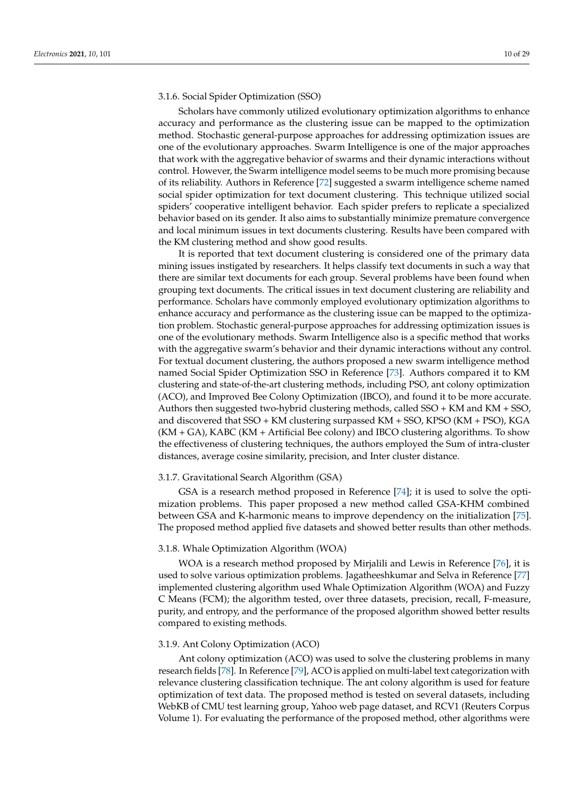# 3.1.6. Social Spider Optimization (SSO)

Scholars have commonly utilized evolutionary optimization algorithms to enhance accuracy and performance as the clustering issue can be mapped to the optimization method. Stochastic general-purpose approaches for addressing optimization issues are one of the evolutionary approaches. Swarm Intelligence is one of the major approaches that work with the aggregative behavior of swarms and their dynamic interactions without control. However, the Swarm intelligence model seems to be much more promising because of its reliability. Authors in Reference [\[72\]](#page-25-10) suggested a swarm intelligence scheme named social spider optimization for text document clustering. This technique utilized social spiders' cooperative intelligent behavior. Each spider prefers to replicate a specialized behavior based on its gender. It also aims to substantially minimize premature convergence and local minimum issues in text documents clustering. Results have been compared with the KM clustering method and show good results.

It is reported that text document clustering is considered one of the primary data mining issues instigated by researchers. It helps classify text documents in such a way that there are similar text documents for each group. Several problems have been found when grouping text documents. The critical issues in text document clustering are reliability and performance. Scholars have commonly employed evolutionary optimization algorithms to enhance accuracy and performance as the clustering issue can be mapped to the optimization problem. Stochastic general-purpose approaches for addressing optimization issues is one of the evolutionary methods. Swarm Intelligence also is a specific method that works with the aggregative swarm's behavior and their dynamic interactions without any control. For textual document clustering, the authors proposed a new swarm intelligence method named Social Spider Optimization SSO in Reference [\[73\]](#page-25-11). Authors compared it to KM clustering and state-of-the-art clustering methods, including PSO, ant colony optimization (ACO), and Improved Bee Colony Optimization (IBCO), and found it to be more accurate. Authors then suggested two-hybrid clustering methods, called SSO + KM and KM + SSO, and discovered that SSO + KM clustering surpassed KM + SSO, KPSO (KM + PSO), KGA (KM + GA), KABC (KM + Artificial Bee colony) and IBCO clustering algorithms. To show the effectiveness of clustering techniques, the authors employed the Sum of intra-cluster distances, average cosine similarity, precision, and Inter cluster distance.

#### 3.1.7. Gravitational Search Algorithm (GSA)

GSA is a research method proposed in Reference [\[74\]](#page-25-12); it is used to solve the optimization problems. This paper proposed a new method called GSA-KHM combined between GSA and K-harmonic means to improve dependency on the initialization [\[75\]](#page-25-13). The proposed method applied five datasets and showed better results than other methods.

## 3.1.8. Whale Optimization Algorithm (WOA)

WOA is a research method proposed by Mirjalili and Lewis in Reference [\[76\]](#page-25-14), it is used to solve various optimization problems. Jagatheeshkumar and Selva in Reference [\[77\]](#page-25-15) implemented clustering algorithm used Whale Optimization Algorithm (WOA) and Fuzzy C Means (FCM); the algorithm tested, over three datasets, precision, recall, F-measure, purity, and entropy, and the performance of the proposed algorithm showed better results compared to existing methods.

#### 3.1.9. Ant Colony Optimization (ACO)

Ant colony optimization (ACO) was used to solve the clustering problems in many research fields [\[78\]](#page-25-16). In Reference [\[79\]](#page-25-17), ACO is applied on multi-label text categorization with relevance clustering classification technique. The ant colony algorithm is used for feature optimization of text data. The proposed method is tested on several datasets, including WebKB of CMU test learning group, Yahoo web page dataset, and RCV1 (Reuters Corpus Volume 1). For evaluating the performance of the proposed method, other algorithms were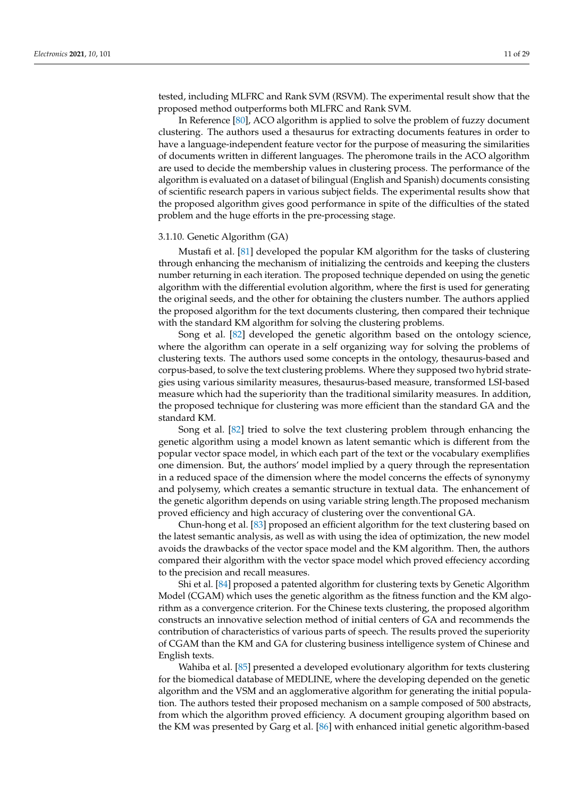tested, including MLFRC and Rank SVM (RSVM). The experimental result show that the proposed method outperforms both MLFRC and Rank SVM.

In Reference [\[80\]](#page-25-18), ACO algorithm is applied to solve the problem of fuzzy document clustering. The authors used a thesaurus for extracting documents features in order to have a language-independent feature vector for the purpose of measuring the similarities of documents written in different languages. The pheromone trails in the ACO algorithm are used to decide the membership values in clustering process. The performance of the algorithm is evaluated on a dataset of bilingual (English and Spanish) documents consisting of scientific research papers in various subject fields. The experimental results show that the proposed algorithm gives good performance in spite of the difficulties of the stated problem and the huge efforts in the pre-processing stage.

#### 3.1.10. Genetic Algorithm (GA)

Mustafi et al. [\[81\]](#page-25-19) developed the popular KM algorithm for the tasks of clustering through enhancing the mechanism of initializing the centroids and keeping the clusters number returning in each iteration. The proposed technique depended on using the genetic algorithm with the differential evolution algorithm, where the first is used for generating the original seeds, and the other for obtaining the clusters number. The authors applied the proposed algorithm for the text documents clustering, then compared their technique with the standard KM algorithm for solving the clustering problems.

Song et al. [\[82\]](#page-25-20) developed the genetic algorithm based on the ontology science, where the algorithm can operate in a self organizing way for solving the problems of clustering texts. The authors used some concepts in the ontology, thesaurus-based and corpus-based, to solve the text clustering problems. Where they supposed two hybrid strategies using various similarity measures, thesaurus-based measure, transformed LSI-based measure which had the superiority than the traditional similarity measures. In addition, the proposed technique for clustering was more efficient than the standard GA and the standard KM.

Song et al. [\[82\]](#page-25-20) tried to solve the text clustering problem through enhancing the genetic algorithm using a model known as latent semantic which is different from the popular vector space model, in which each part of the text or the vocabulary exemplifies one dimension. But, the authors' model implied by a query through the representation in a reduced space of the dimension where the model concerns the effects of synonymy and polysemy, which creates a semantic structure in textual data. The enhancement of the genetic algorithm depends on using variable string length.The proposed mechanism proved efficiency and high accuracy of clustering over the conventional GA.

Chun-hong et al. [\[83\]](#page-25-21) proposed an efficient algorithm for the text clustering based on the latest semantic analysis, as well as with using the idea of optimization, the new model avoids the drawbacks of the vector space model and the KM algorithm. Then, the authors compared their algorithm with the vector space model which proved effeciency according to the precision and recall measures.

Shi et al. [\[84\]](#page-25-22) proposed a patented algorithm for clustering texts by Genetic Algorithm Model (CGAM) which uses the genetic algorithm as the fitness function and the KM algorithm as a convergence criterion. For the Chinese texts clustering, the proposed algorithm constructs an innovative selection method of initial centers of GA and recommends the contribution of characteristics of various parts of speech. The results proved the superiority of CGAM than the KM and GA for clustering business intelligence system of Chinese and English texts.

Wahiba et al. [\[85\]](#page-25-23) presented a developed evolutionary algorithm for texts clustering for the biomedical database of MEDLINE, where the developing depended on the genetic algorithm and the VSM and an agglomerative algorithm for generating the initial population. The authors tested their proposed mechanism on a sample composed of 500 abstracts, from which the algorithm proved efficiency. A document grouping algorithm based on the KM was presented by Garg et al. [\[86\]](#page-25-24) with enhanced initial genetic algorithm-based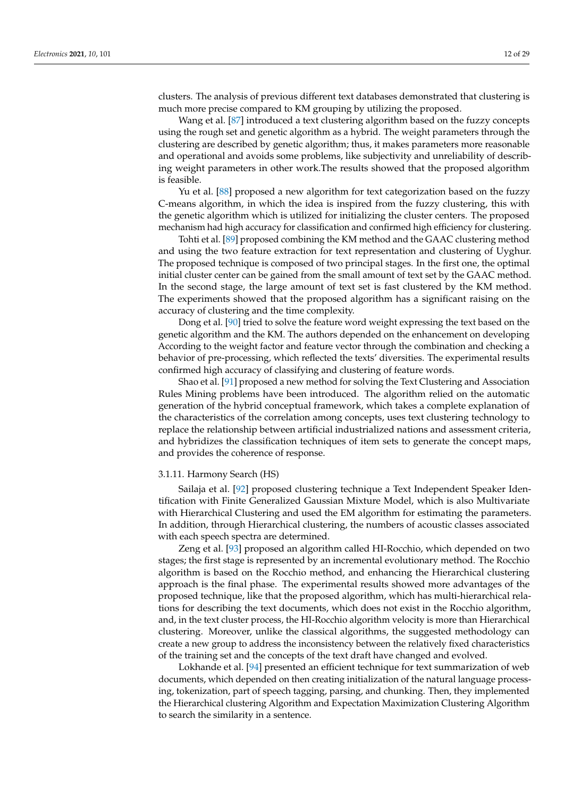clusters. The analysis of previous different text databases demonstrated that clustering is much more precise compared to KM grouping by utilizing the proposed.

Wang et al. [\[87\]](#page-25-25) introduced a text clustering algorithm based on the fuzzy concepts using the rough set and genetic algorithm as a hybrid. The weight parameters through the clustering are described by genetic algorithm; thus, it makes parameters more reasonable and operational and avoids some problems, like subjectivity and unreliability of describing weight parameters in other work.The results showed that the proposed algorithm is feasible.

Yu et al. [\[88\]](#page-25-26) proposed a new algorithm for text categorization based on the fuzzy C-means algorithm, in which the idea is inspired from the fuzzy clustering, this with the genetic algorithm which is utilized for initializing the cluster centers. The proposed mechanism had high accuracy for classification and confirmed high efficiency for clustering.

Tohti et al. [\[89\]](#page-26-0) proposed combining the KM method and the GAAC clustering method and using the two feature extraction for text representation and clustering of Uyghur. The proposed technique is composed of two principal stages. In the first one, the optimal initial cluster center can be gained from the small amount of text set by the GAAC method. In the second stage, the large amount of text set is fast clustered by the KM method. The experiments showed that the proposed algorithm has a significant raising on the accuracy of clustering and the time complexity.

Dong et al. [\[90\]](#page-26-1) tried to solve the feature word weight expressing the text based on the genetic algorithm and the KM. The authors depended on the enhancement on developing According to the weight factor and feature vector through the combination and checking a behavior of pre-processing, which reflected the texts' diversities. The experimental results confirmed high accuracy of classifying and clustering of feature words.

Shao et al. [\[91\]](#page-26-2) proposed a new method for solving the Text Clustering and Association Rules Mining problems have been introduced. The algorithm relied on the automatic generation of the hybrid conceptual framework, which takes a complete explanation of the characteristics of the correlation among concepts, uses text clustering technology to replace the relationship between artificial industrialized nations and assessment criteria, and hybridizes the classification techniques of item sets to generate the concept maps, and provides the coherence of response.

#### 3.1.11. Harmony Search (HS)

Sailaja et al. [\[92\]](#page-26-3) proposed clustering technique a Text Independent Speaker Identification with Finite Generalized Gaussian Mixture Model, which is also Multivariate with Hierarchical Clustering and used the EM algorithm for estimating the parameters. In addition, through Hierarchical clustering, the numbers of acoustic classes associated with each speech spectra are determined.

Zeng et al. [\[93\]](#page-26-4) proposed an algorithm called HI-Rocchio, which depended on two stages; the first stage is represented by an incremental evolutionary method. The Rocchio algorithm is based on the Rocchio method, and enhancing the Hierarchical clustering approach is the final phase. The experimental results showed more advantages of the proposed technique, like that the proposed algorithm, which has multi-hierarchical relations for describing the text documents, which does not exist in the Rocchio algorithm, and, in the text cluster process, the HI-Rocchio algorithm velocity is more than Hierarchical clustering. Moreover, unlike the classical algorithms, the suggested methodology can create a new group to address the inconsistency between the relatively fixed characteristics of the training set and the concepts of the text draft have changed and evolved.

Lokhande et al. [\[94\]](#page-26-5) presented an efficient technique for text summarization of web documents, which depended on then creating initialization of the natural language processing, tokenization, part of speech tagging, parsing, and chunking. Then, they implemented the Hierarchical clustering Algorithm and Expectation Maximization Clustering Algorithm to search the similarity in a sentence.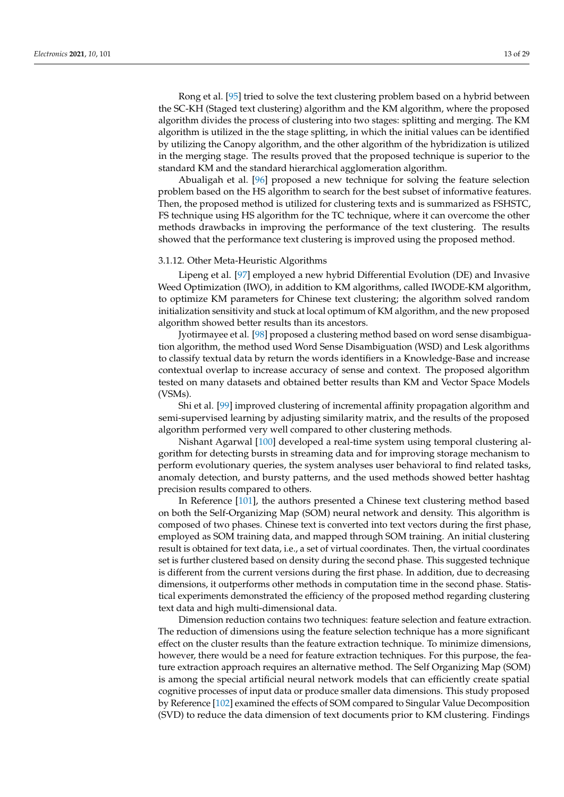Rong et al. [\[95\]](#page-26-6) tried to solve the text clustering problem based on a hybrid between the SC-KH (Staged text clustering) algorithm and the KM algorithm, where the proposed algorithm divides the process of clustering into two stages: splitting and merging. The KM algorithm is utilized in the the stage splitting, in which the initial values can be identified by utilizing the Canopy algorithm, and the other algorithm of the hybridization is utilized in the merging stage. The results proved that the proposed technique is superior to the standard KM and the standard hierarchical agglomeration algorithm.

Abualigah et al. [\[96\]](#page-26-7) proposed a new technique for solving the feature selection problem based on the HS algorithm to search for the best subset of informative features. Then, the proposed method is utilized for clustering texts and is summarized as FSHSTC, FS technique using HS algorithm for the TC technique, where it can overcome the other methods drawbacks in improving the performance of the text clustering. The results showed that the performance text clustering is improved using the proposed method.

#### 3.1.12. Other Meta-Heuristic Algorithms

Lipeng et al. [\[97\]](#page-26-8) employed a new hybrid Differential Evolution (DE) and Invasive Weed Optimization (IWO), in addition to KM algorithms, called IWODE-KM algorithm, to optimize KM parameters for Chinese text clustering; the algorithm solved random initialization sensitivity and stuck at local optimum of KM algorithm, and the new proposed algorithm showed better results than its ancestors.

Jyotirmayee et al. [\[98\]](#page-26-9) proposed a clustering method based on word sense disambiguation algorithm, the method used Word Sense Disambiguation (WSD) and Lesk algorithms to classify textual data by return the words identifiers in a Knowledge-Base and increase contextual overlap to increase accuracy of sense and context. The proposed algorithm tested on many datasets and obtained better results than KM and Vector Space Models (VSMs).

Shi et al. [\[99\]](#page-26-10) improved clustering of incremental affinity propagation algorithm and semi-supervised learning by adjusting similarity matrix, and the results of the proposed algorithm performed very well compared to other clustering methods.

Nishant Agarwal [\[100\]](#page-26-11) developed a real-time system using temporal clustering algorithm for detecting bursts in streaming data and for improving storage mechanism to perform evolutionary queries, the system analyses user behavioral to find related tasks, anomaly detection, and bursty patterns, and the used methods showed better hashtag precision results compared to others.

In Reference [\[101\]](#page-26-12), the authors presented a Chinese text clustering method based on both the Self-Organizing Map (SOM) neural network and density. This algorithm is composed of two phases. Chinese text is converted into text vectors during the first phase, employed as SOM training data, and mapped through SOM training. An initial clustering result is obtained for text data, i.e., a set of virtual coordinates. Then, the virtual coordinates set is further clustered based on density during the second phase. This suggested technique is different from the current versions during the first phase. In addition, due to decreasing dimensions, it outperforms other methods in computation time in the second phase. Statistical experiments demonstrated the efficiency of the proposed method regarding clustering text data and high multi-dimensional data.

Dimension reduction contains two techniques: feature selection and feature extraction. The reduction of dimensions using the feature selection technique has a more significant effect on the cluster results than the feature extraction technique. To minimize dimensions, however, there would be a need for feature extraction techniques. For this purpose, the feature extraction approach requires an alternative method. The Self Organizing Map (SOM) is among the special artificial neural network models that can efficiently create spatial cognitive processes of input data or produce smaller data dimensions. This study proposed by Reference [\[102\]](#page-26-13) examined the effects of SOM compared to Singular Value Decomposition (SVD) to reduce the data dimension of text documents prior to KM clustering. Findings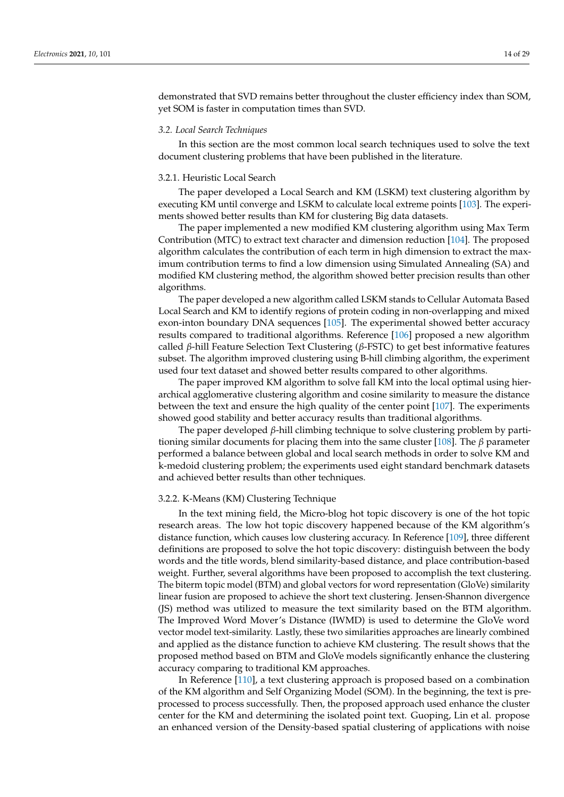demonstrated that SVD remains better throughout the cluster efficiency index than SOM, yet SOM is faster in computation times than SVD.

## *3.2. Local Search Techniques*

In this section are the most common local search techniques used to solve the text document clustering problems that have been published in the literature.

## 3.2.1. Heuristic Local Search

The paper developed a Local Search and KM (LSKM) text clustering algorithm by executing KM until converge and LSKM to calculate local extreme points [\[103\]](#page-26-14). The experiments showed better results than KM for clustering Big data datasets.

The paper implemented a new modified KM clustering algorithm using Max Term Contribution (MTC) to extract text character and dimension reduction [\[104\]](#page-26-15). The proposed algorithm calculates the contribution of each term in high dimension to extract the maximum contribution terms to find a low dimension using Simulated Annealing (SA) and modified KM clustering method, the algorithm showed better precision results than other algorithms.

The paper developed a new algorithm called LSKM stands to Cellular Automata Based Local Search and KM to identify regions of protein coding in non-overlapping and mixed exon-inton boundary DNA sequences [\[105\]](#page-26-16). The experimental showed better accuracy results compared to traditional algorithms. Reference [\[106\]](#page-26-17) proposed a new algorithm called *β*-hill Feature Selection Text Clustering (*β*-FSTC) to get best informative features subset. The algorithm improved clustering using B-hill climbing algorithm, the experiment used four text dataset and showed better results compared to other algorithms.

The paper improved KM algorithm to solve fall KM into the local optimal using hierarchical agglomerative clustering algorithm and cosine similarity to measure the distance between the text and ensure the high quality of the center point [\[107\]](#page-26-18). The experiments showed good stability and better accuracy results than traditional algorithms.

The paper developed *β*-hill climbing technique to solve clustering problem by partitioning similar documents for placing them into the same cluster [\[108\]](#page-26-19). The *β* parameter performed a balance between global and local search methods in order to solve KM and k-medoid clustering problem; the experiments used eight standard benchmark datasets and achieved better results than other techniques.

#### 3.2.2. K-Means (KM) Clustering Technique

In the text mining field, the Micro-blog hot topic discovery is one of the hot topic research areas. The low hot topic discovery happened because of the KM algorithm's distance function, which causes low clustering accuracy. In Reference [\[109\]](#page-26-20), three different definitions are proposed to solve the hot topic discovery: distinguish between the body words and the title words, blend similarity-based distance, and place contribution-based weight. Further, several algorithms have been proposed to accomplish the text clustering. The biterm topic model (BTM) and global vectors for word representation (GloVe) similarity linear fusion are proposed to achieve the short text clustering. Jensen-Shannon divergence (JS) method was utilized to measure the text similarity based on the BTM algorithm. The Improved Word Mover's Distance (IWMD) is used to determine the GloVe word vector model text-similarity. Lastly, these two similarities approaches are linearly combined and applied as the distance function to achieve KM clustering. The result shows that the proposed method based on BTM and GloVe models significantly enhance the clustering accuracy comparing to traditional KM approaches.

In Reference [\[110\]](#page-26-21), a text clustering approach is proposed based on a combination of the KM algorithm and Self Organizing Model (SOM). In the beginning, the text is preprocessed to process successfully. Then, the proposed approach used enhance the cluster center for the KM and determining the isolated point text. Guoping, Lin et al. propose an enhanced version of the Density-based spatial clustering of applications with noise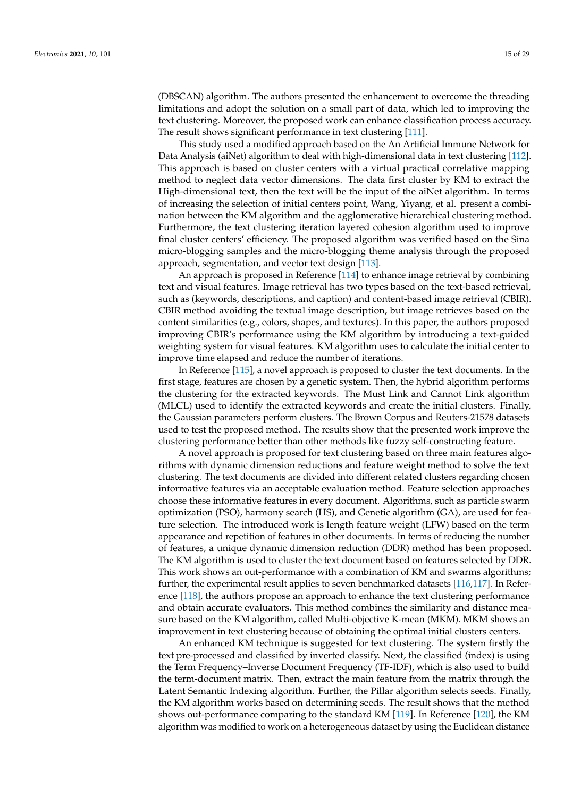(DBSCAN) algorithm. The authors presented the enhancement to overcome the threading limitations and adopt the solution on a small part of data, which led to improving the text clustering. Moreover, the proposed work can enhance classification process accuracy. The result shows significant performance in text clustering [\[111\]](#page-26-22).

This study used a modified approach based on the An Artificial Immune Network for Data Analysis (aiNet) algorithm to deal with high-dimensional data in text clustering [\[112\]](#page-26-23). This approach is based on cluster centers with a virtual practical correlative mapping method to neglect data vector dimensions. The data first cluster by KM to extract the High-dimensional text, then the text will be the input of the aiNet algorithm. In terms of increasing the selection of initial centers point, Wang, Yiyang, et al. present a combination between the KM algorithm and the agglomerative hierarchical clustering method. Furthermore, the text clustering iteration layered cohesion algorithm used to improve final cluster centers' efficiency. The proposed algorithm was verified based on the Sina micro-blogging samples and the micro-blogging theme analysis through the proposed approach, segmentation, and vector text design [\[113\]](#page-26-24).

An approach is proposed in Reference [\[114\]](#page-27-0) to enhance image retrieval by combining text and visual features. Image retrieval has two types based on the text-based retrieval, such as (keywords, descriptions, and caption) and content-based image retrieval (CBIR). CBIR method avoiding the textual image description, but image retrieves based on the content similarities (e.g., colors, shapes, and textures). In this paper, the authors proposed improving CBIR's performance using the KM algorithm by introducing a text-guided weighting system for visual features. KM algorithm uses to calculate the initial center to improve time elapsed and reduce the number of iterations.

In Reference [\[115\]](#page-27-1), a novel approach is proposed to cluster the text documents. In the first stage, features are chosen by a genetic system. Then, the hybrid algorithm performs the clustering for the extracted keywords. The Must Link and Cannot Link algorithm (MLCL) used to identify the extracted keywords and create the initial clusters. Finally, the Gaussian parameters perform clusters. The Brown Corpus and Reuters-21578 datasets used to test the proposed method. The results show that the presented work improve the clustering performance better than other methods like fuzzy self-constructing feature.

A novel approach is proposed for text clustering based on three main features algorithms with dynamic dimension reductions and feature weight method to solve the text clustering. The text documents are divided into different related clusters regarding chosen informative features via an acceptable evaluation method. Feature selection approaches choose these informative features in every document. Algorithms, such as particle swarm optimization (PSO), harmony search (HS), and Genetic algorithm (GA), are used for feature selection. The introduced work is length feature weight (LFW) based on the term appearance and repetition of features in other documents. In terms of reducing the number of features, a unique dynamic dimension reduction (DDR) method has been proposed. The KM algorithm is used to cluster the text document based on features selected by DDR. This work shows an out-performance with a combination of KM and swarms algorithms; further, the experimental result applies to seven benchmarked datasets [\[116,](#page-27-2)[117\]](#page-27-3). In Reference [\[118\]](#page-27-4), the authors propose an approach to enhance the text clustering performance and obtain accurate evaluators. This method combines the similarity and distance measure based on the KM algorithm, called Multi-objective K-mean (MKM). MKM shows an improvement in text clustering because of obtaining the optimal initial clusters centers.

An enhanced KM technique is suggested for text clustering. The system firstly the text pre-processed and classified by inverted classify. Next, the classified (index) is using the Term Frequency–Inverse Document Frequency (TF-IDF), which is also used to build the term-document matrix. Then, extract the main feature from the matrix through the Latent Semantic Indexing algorithm. Further, the Pillar algorithm selects seeds. Finally, the KM algorithm works based on determining seeds. The result shows that the method shows out-performance comparing to the standard KM [\[119\]](#page-27-5). In Reference [\[120\]](#page-27-6), the KM algorithm was modified to work on a heterogeneous dataset by using the Euclidean distance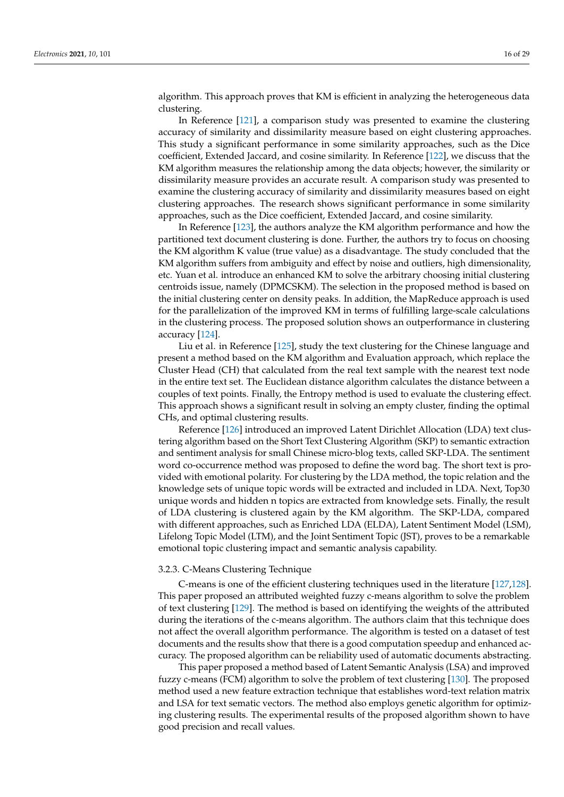algorithm. This approach proves that KM is efficient in analyzing the heterogeneous data clustering.

In Reference [\[121\]](#page-27-7), a comparison study was presented to examine the clustering accuracy of similarity and dissimilarity measure based on eight clustering approaches. This study a significant performance in some similarity approaches, such as the Dice coefficient, Extended Jaccard, and cosine similarity. In Reference [\[122\]](#page-27-8), we discuss that the KM algorithm measures the relationship among the data objects; however, the similarity or dissimilarity measure provides an accurate result. A comparison study was presented to examine the clustering accuracy of similarity and dissimilarity measures based on eight clustering approaches. The research shows significant performance in some similarity approaches, such as the Dice coefficient, Extended Jaccard, and cosine similarity.

In Reference [\[123\]](#page-27-9), the authors analyze the KM algorithm performance and how the partitioned text document clustering is done. Further, the authors try to focus on choosing the KM algorithm K value (true value) as a disadvantage. The study concluded that the KM algorithm suffers from ambiguity and effect by noise and outliers, high dimensionality, etc. Yuan et al. introduce an enhanced KM to solve the arbitrary choosing initial clustering centroids issue, namely (DPMCSKM). The selection in the proposed method is based on the initial clustering center on density peaks. In addition, the MapReduce approach is used for the parallelization of the improved KM in terms of fulfilling large-scale calculations in the clustering process. The proposed solution shows an outperformance in clustering accuracy [\[124\]](#page-27-10).

Liu et al. in Reference [\[125\]](#page-27-11), study the text clustering for the Chinese language and present a method based on the KM algorithm and Evaluation approach, which replace the Cluster Head (CH) that calculated from the real text sample with the nearest text node in the entire text set. The Euclidean distance algorithm calculates the distance between a couples of text points. Finally, the Entropy method is used to evaluate the clustering effect. This approach shows a significant result in solving an empty cluster, finding the optimal CHs, and optimal clustering results.

Reference [\[126\]](#page-27-12) introduced an improved Latent Dirichlet Allocation (LDA) text clustering algorithm based on the Short Text Clustering Algorithm (SKP) to semantic extraction and sentiment analysis for small Chinese micro-blog texts, called SKP-LDA. The sentiment word co-occurrence method was proposed to define the word bag. The short text is provided with emotional polarity. For clustering by the LDA method, the topic relation and the knowledge sets of unique topic words will be extracted and included in LDA. Next, Top30 unique words and hidden n topics are extracted from knowledge sets. Finally, the result of LDA clustering is clustered again by the KM algorithm. The SKP-LDA, compared with different approaches, such as Enriched LDA (ELDA), Latent Sentiment Model (LSM), Lifelong Topic Model (LTM), and the Joint Sentiment Topic (JST), proves to be a remarkable emotional topic clustering impact and semantic analysis capability.

## 3.2.3. C-Means Clustering Technique

C-means is one of the efficient clustering techniques used in the literature [\[127,](#page-27-13)[128\]](#page-27-14). This paper proposed an attributed weighted fuzzy c-means algorithm to solve the problem of text clustering [\[129\]](#page-27-15). The method is based on identifying the weights of the attributed during the iterations of the c-means algorithm. The authors claim that this technique does not affect the overall algorithm performance. The algorithm is tested on a dataset of test documents and the results show that there is a good computation speedup and enhanced accuracy. The proposed algorithm can be reliability used of automatic documents abstracting.

This paper proposed a method based of Latent Semantic Analysis (LSA) and improved fuzzy c-means (FCM) algorithm to solve the problem of text clustering [\[130\]](#page-27-16). The proposed method used a new feature extraction technique that establishes word-text relation matrix and LSA for text sematic vectors. The method also employs genetic algorithm for optimizing clustering results. The experimental results of the proposed algorithm shown to have good precision and recall values.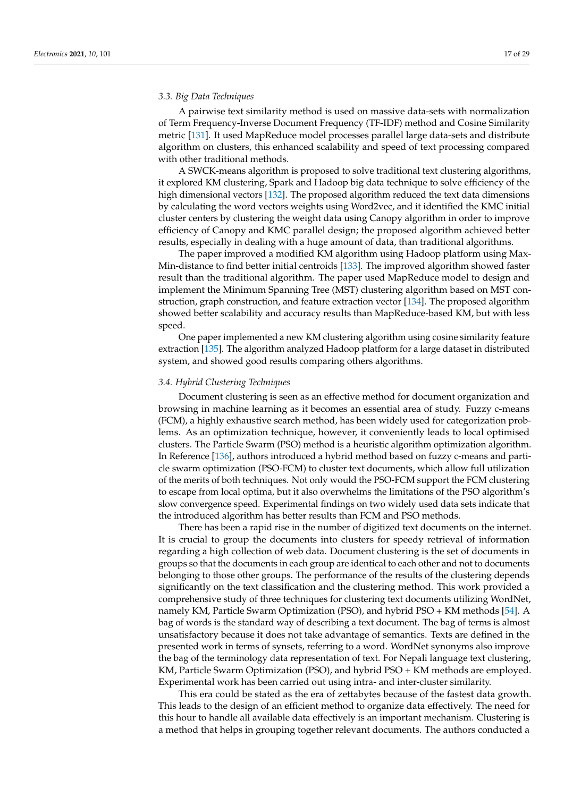# *3.3. Big Data Techniques*

A pairwise text similarity method is used on massive data-sets with normalization of Term Frequency-Inverse Document Frequency (TF-IDF) method and Cosine Similarity metric [\[131\]](#page-27-17). It used MapReduce model processes parallel large data-sets and distribute algorithm on clusters, this enhanced scalability and speed of text processing compared with other traditional methods.

A SWCK-means algorithm is proposed to solve traditional text clustering algorithms, it explored KM clustering, Spark and Hadoop big data technique to solve efficiency of the high dimensional vectors [\[132\]](#page-27-18). The proposed algorithm reduced the text data dimensions by calculating the word vectors weights using Word2vec, and it identified the KMC initial cluster centers by clustering the weight data using Canopy algorithm in order to improve efficiency of Canopy and KMC parallel design; the proposed algorithm achieved better results, especially in dealing with a huge amount of data, than traditional algorithms.

The paper improved a modified KM algorithm using Hadoop platform using Max-Min-distance to find better initial centroids [\[133\]](#page-27-19). The improved algorithm showed faster result than the traditional algorithm. The paper used MapReduce model to design and implement the Minimum Spanning Tree (MST) clustering algorithm based on MST construction, graph construction, and feature extraction vector [\[134\]](#page-27-20). The proposed algorithm showed better scalability and accuracy results than MapReduce-based KM, but with less speed.

One paper implemented a new KM clustering algorithm using cosine similarity feature extraction [\[135\]](#page-27-21). The algorithm analyzed Hadoop platform for a large dataset in distributed system, and showed good results comparing others algorithms.

## *3.4. Hybrid Clustering Techniques*

Document clustering is seen as an effective method for document organization and browsing in machine learning as it becomes an essential area of study. Fuzzy c-means (FCM), a highly exhaustive search method, has been widely used for categorization problems. As an optimization technique, however, it conveniently leads to local optimised clusters. The Particle Swarm (PSO) method is a heuristic algorithm optimization algorithm. In Reference [\[136\]](#page-27-22), authors introduced a hybrid method based on fuzzy c-means and particle swarm optimization (PSO-FCM) to cluster text documents, which allow full utilization of the merits of both techniques. Not only would the PSO-FCM support the FCM clustering to escape from local optima, but it also overwhelms the limitations of the PSO algorithm's slow convergence speed. Experimental findings on two widely used data sets indicate that the introduced algorithm has better results than FCM and PSO methods.

There has been a rapid rise in the number of digitized text documents on the internet. It is crucial to group the documents into clusters for speedy retrieval of information regarding a high collection of web data. Document clustering is the set of documents in groups so that the documents in each group are identical to each other and not to documents belonging to those other groups. The performance of the results of the clustering depends significantly on the text classification and the clustering method. This work provided a comprehensive study of three techniques for clustering text documents utilizing WordNet, namely KM, Particle Swarm Optimization (PSO), and hybrid PSO + KM methods [\[54\]](#page-24-23). A bag of words is the standard way of describing a text document. The bag of terms is almost unsatisfactory because it does not take advantage of semantics. Texts are defined in the presented work in terms of synsets, referring to a word. WordNet synonyms also improve the bag of the terminology data representation of text. For Nepali language text clustering, KM, Particle Swarm Optimization (PSO), and hybrid PSO + KM methods are employed. Experimental work has been carried out using intra- and inter-cluster similarity.

This era could be stated as the era of zettabytes because of the fastest data growth. This leads to the design of an efficient method to organize data effectively. The need for this hour to handle all available data effectively is an important mechanism. Clustering is a method that helps in grouping together relevant documents. The authors conducted a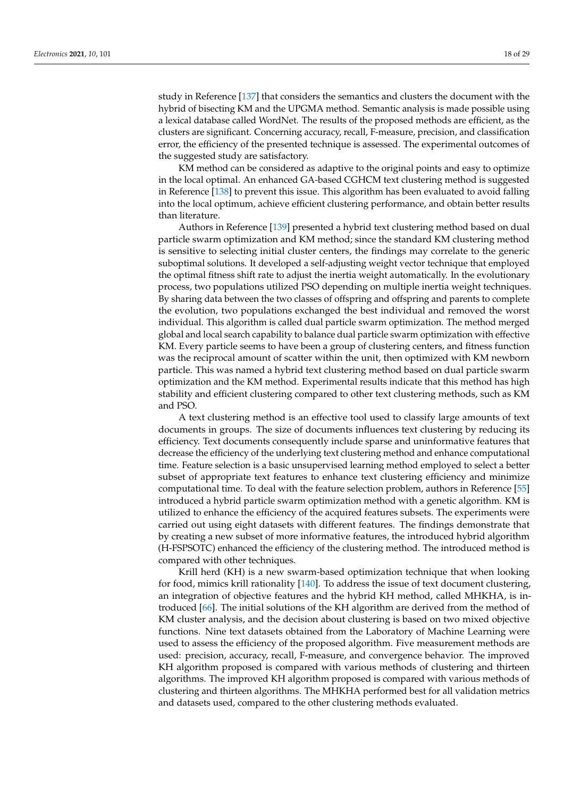study in Reference [\[137\]](#page-27-23) that considers the semantics and clusters the document with the hybrid of bisecting KM and the UPGMA method. Semantic analysis is made possible using a lexical database called WordNet. The results of the proposed methods are efficient, as the clusters are significant. Concerning accuracy, recall, F-measure, precision, and classification error, the efficiency of the presented technique is assessed. The experimental outcomes of the suggested study are satisfactory.

KM method can be considered as adaptive to the original points and easy to optimize in the local optimal. An enhanced GA-based CGHCM text clustering method is suggested in Reference [\[138\]](#page-27-24) to prevent this issue. This algorithm has been evaluated to avoid falling into the local optimum, achieve efficient clustering performance, and obtain better results than literature.

Authors in Reference [\[139\]](#page-28-0) presented a hybrid text clustering method based on dual particle swarm optimization and KM method; since the standard KM clustering method is sensitive to selecting initial cluster centers, the findings may correlate to the generic suboptimal solutions. It developed a self-adjusting weight vector technique that employed the optimal fitness shift rate to adjust the inertia weight automatically. In the evolutionary process, two populations utilized PSO depending on multiple inertia weight techniques. By sharing data between the two classes of offspring and offspring and parents to complete the evolution, two populations exchanged the best individual and removed the worst individual. This algorithm is called dual particle swarm optimization. The method merged global and local search capability to balance dual particle swarm optimization with effective KM. Every particle seems to have been a group of clustering centers, and fitness function was the reciprocal amount of scatter within the unit, then optimized with KM newborn particle. This was named a hybrid text clustering method based on dual particle swarm optimization and the KM method. Experimental results indicate that this method has high stability and efficient clustering compared to other text clustering methods, such as KM and PSO.

A text clustering method is an effective tool used to classify large amounts of text documents in groups. The size of documents influences text clustering by reducing its efficiency. Text documents consequently include sparse and uninformative features that decrease the efficiency of the underlying text clustering method and enhance computational time. Feature selection is a basic unsupervised learning method employed to select a better subset of appropriate text features to enhance text clustering efficiency and minimize computational time. To deal with the feature selection problem, authors in Reference [\[55\]](#page-24-24) introduced a hybrid particle swarm optimization method with a genetic algorithm. KM is utilized to enhance the efficiency of the acquired features subsets. The experiments were carried out using eight datasets with different features. The findings demonstrate that by creating a new subset of more informative features, the introduced hybrid algorithm (H-FSPSOTC) enhanced the efficiency of the clustering method. The introduced method is compared with other techniques.

Krill herd (KH) is a new swarm-based optimization technique that when looking for food, mimics krill rationality [\[140\]](#page-28-1). To address the issue of text document clustering, an integration of objective features and the hybrid KH method, called MHKHA, is introduced [\[66\]](#page-25-4). The initial solutions of the KH algorithm are derived from the method of KM cluster analysis, and the decision about clustering is based on two mixed objective functions. Nine text datasets obtained from the Laboratory of Machine Learning were used to assess the efficiency of the proposed algorithm. Five measurement methods are used: precision, accuracy, recall, F-measure, and convergence behavior. The improved KH algorithm proposed is compared with various methods of clustering and thirteen algorithms. The improved KH algorithm proposed is compared with various methods of clustering and thirteen algorithms. The MHKHA performed best for all validation metrics and datasets used, compared to the other clustering methods evaluated.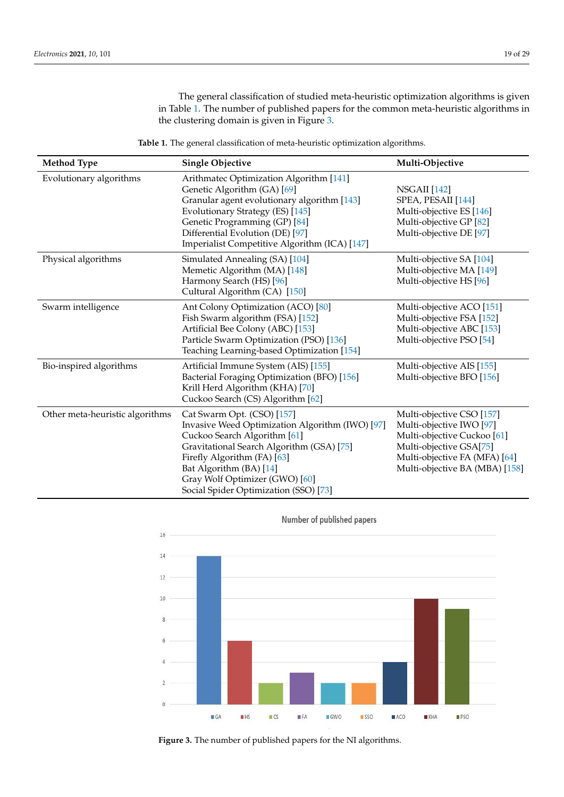The general classification of studied meta-heuristic optimization algorithms is given in Table [1.](#page-18-0) The number of published papers for the common meta-heuristic algorithms in the clustering domain is given in Figure [3.](#page-18-1)

<span id="page-18-0"></span>

| <b>Method Type</b>              | <b>Single Objective</b>                                                                                                                                                                                                                                                                         | Multi-Objective                                                                                                                                                                               |
|---------------------------------|-------------------------------------------------------------------------------------------------------------------------------------------------------------------------------------------------------------------------------------------------------------------------------------------------|-----------------------------------------------------------------------------------------------------------------------------------------------------------------------------------------------|
| Evolutionary algorithms         | Arithmatec Optimization Algorithm [141]<br>Genetic Algorithm (GA) [69]<br>Granular agent evolutionary algorithm [143]<br>Evolutionary Strategy (ES) [145]<br>Genetic Programming (GP) [84]<br>Differential Evolution (DE) [97]<br>Imperialist Competitive Algorithm (ICA) [147]                 | <b>NSGAII</b> [142]<br>SPEA, PESAII [144]<br>Multi-objective ES [146]<br>Multi-objective GP [82]<br>Multi-objective DE [97]                                                                   |
| Physical algorithms             | Simulated Annealing (SA) [104]<br>Memetic Algorithm (MA) [148]<br>Harmony Search (HS) [96]<br>Cultural Algorithm (CA) [150]                                                                                                                                                                     | Multi-objective SA [104]<br>Multi-objective MA [149]<br>Multi-objective HS [96]                                                                                                               |
| Swarm intelligence              | Ant Colony Optimization (ACO) [80]<br>Fish Swarm algorithm (FSA) [152]<br>Artificial Bee Colony (ABC) [153]<br>Particle Swarm Optimization (PSO) [136]<br>Teaching Learning-based Optimization [154]                                                                                            | Multi-objective ACO [151]<br>Multi-objective FSA [152]<br>Multi-objective ABC [153]<br>Multi-objective PSO [54]                                                                               |
| Bio-inspired algorithms         | Artificial Immune System (AIS) [155]<br>Bacterial Foraging Optimization (BFO) [156]<br>Krill Herd Algorithm (KHA) [70]<br>Cuckoo Search (CS) Algorithm [62]                                                                                                                                     | Multi-objective AIS [155]<br>Multi-objective BFO [156]                                                                                                                                        |
| Other meta-heuristic algorithms | Cat Swarm Opt. (CSO) [157]<br>Invasive Weed Optimization Algorithm (IWO) [97]<br>Cuckoo Search Algorithm [61]<br>Gravitational Search Algorithm (GSA) [75]<br>Firefly Algorithm (FA) [63]<br>Bat Algorithm (BA) [14]<br>Gray Wolf Optimizer (GWO) [60]<br>Social Spider Optimization (SSO) [73] | Multi-objective CSO [157]<br>Multi-objective IWO [97]<br>Multi-objective Cuckoo <sup>[61]</sup><br>Multi-objective GSA[75]<br>Multi-objective FA (MFA) [64]<br>Multi-objective BA (MBA) [158] |

<span id="page-18-1"></span>

**Figure 3.** The number of published papers for the NI algorithms.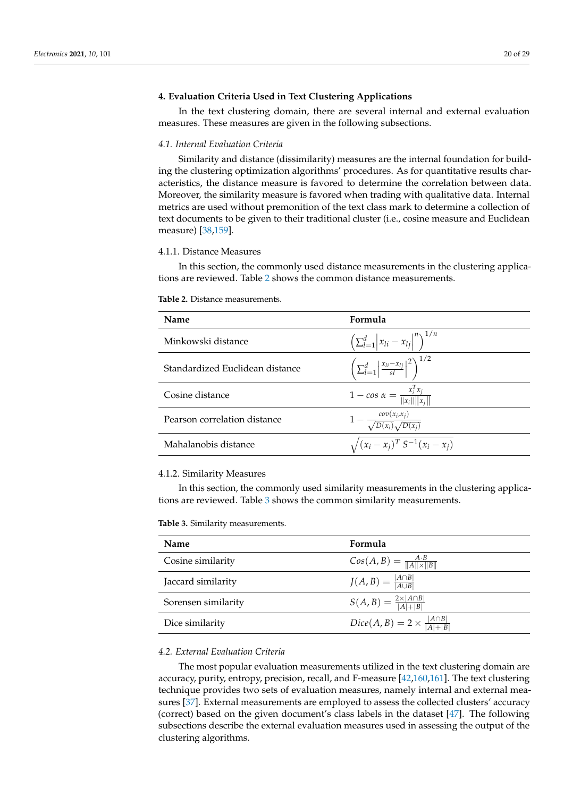# <span id="page-19-0"></span>**4. Evaluation Criteria Used in Text Clustering Applications**

In the text clustering domain, there are several internal and external evaluation measures. These measures are given in the following subsections.

## *4.1. Internal Evaluation Criteria*

Similarity and distance (dissimilarity) measures are the internal foundation for building the clustering optimization algorithms' procedures. As for quantitative results characteristics, the distance measure is favored to determine the correlation between data. Moreover, the similarity measure is favored when trading with qualitative data. Internal metrics are used without premonition of the text class mark to determine a collection of text documents to be given to their traditional cluster (i.e., cosine measure and Euclidean measure) [\[38,](#page-24-18)[159\]](#page-28-20).

#### 4.1.1. Distance Measures

In this section, the commonly used distance measurements in the clustering applications are reviewed. Table [2](#page-19-1) shows the common distance measurements.

| Name                            | Formula                                                                           |
|---------------------------------|-----------------------------------------------------------------------------------|
| Minkowski distance              | $\left( \sum_{l=1}^{d}  x_{li} - x_{lj} ^{n} \right)^{1/n}$                       |
| Standardized Euclidean distance | $\left( \sum_{l=1}^{d} \left  \frac{x_{li} - x_{lj}}{sl} \right ^2 \right)^{1/2}$ |
| Cosine distance                 | $1 - \cos \alpha = \frac{x_i^T x_j}{\ x_i\  \ x_i\ }$                             |
| Pearson correlation distance    | $1 - \frac{cov(x_i, x_j)}{\sqrt{D(x_i)}\sqrt{D(x_i)}}$                            |
| Mahalanobis distance            | $\sqrt{(x_i - x_j)^T S^{-1}(x_i - x_j)}$                                          |

<span id="page-19-1"></span>**Table 2.** Distance measurements.

## 4.1.2. Similarity Measures

In this section, the commonly used similarity measurements in the clustering applications are reviewed. Table [3](#page-19-2) shows the common similarity measurements.

<span id="page-19-2"></span>

| <b>Table 3.</b> Similarity measurements. |  |
|------------------------------------------|--|
|------------------------------------------|--|

| <b>Name</b>         | Formula                                            |
|---------------------|----------------------------------------------------|
| Cosine similarity   | $Cos(A, B) = \frac{A \cdot B}{\ A\  \times \ B\ }$ |
| Jaccard similarity  | $J(A, B) = \frac{ A \cap B }{ A \cup B }$          |
| Sorensen similarity | $S(A,B)=\frac{2\times  A\cap B }{ A + B }$         |
| Dice similarity     | $Dice(A, B) = 2 \times \frac{ A \cap B }{ A + B }$ |

# *4.2. External Evaluation Criteria*

The most popular evaluation measurements utilized in the text clustering domain are accuracy, purity, entropy, precision, recall, and F-measure [\[42,](#page-24-10)[160](#page-28-21)[,161\]](#page-28-22). The text clustering technique provides two sets of evaluation measures, namely internal and external measures [\[37\]](#page-24-6). External measurements are employed to assess the collected clusters' accuracy (correct) based on the given document's class labels in the dataset [\[47\]](#page-24-15). The following subsections describe the external evaluation measures used in assessing the output of the clustering algorithms.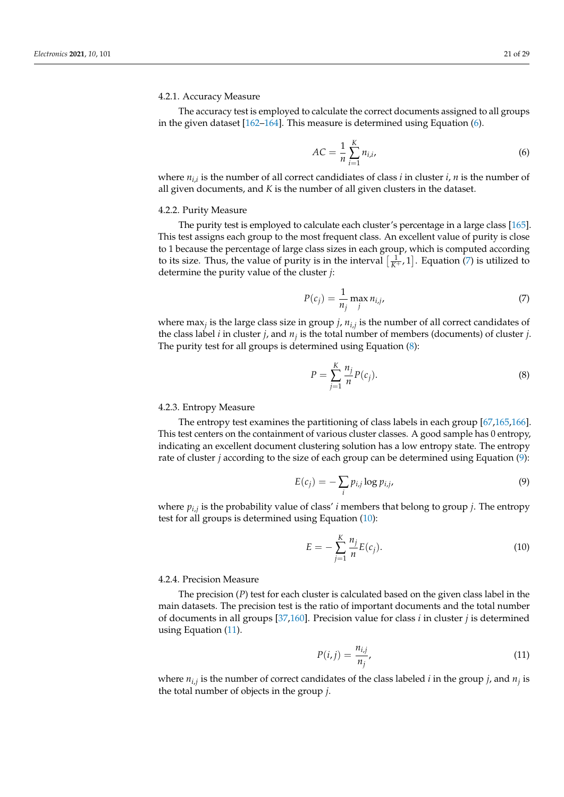# 4.2.1. Accuracy Measure

The accuracy test is employed to calculate the correct documents assigned to all groups in the given dataset [\[162](#page-28-23)[–164\]](#page-28-24). This measure is determined using Equation [\(6\)](#page-20-0).

<span id="page-20-0"></span>
$$
AC = \frac{1}{n} \sum_{i=1}^{K} n_{i,i},
$$
 (6)

where *ni*,*<sup>i</sup>* is the number of all correct candidiates of class *i* in cluster *i*, *n* is the number of all given documents, and *K* is the number of all given clusters in the dataset.

## 4.2.2. Purity Measure

The purity test is employed to calculate each cluster's percentage in a large class [\[165\]](#page-28-25). This test assigns each group to the most frequent class. An excellent value of purity is close to 1 because the percentage of large class sizes in each group, which is computed according to its size. Thus, the value of purity is in the interval  $\left[\frac{1}{K^{+}}, 1\right]$ . Equation [\(7\)](#page-20-1) is utilized to determine the purity value of the cluster *j*:

<span id="page-20-1"></span>
$$
P(c_j) = \frac{1}{n_j} \max_j n_{i,j},
$$
\n(7)

where max*<sup>j</sup>* is the large class size in group *j*, *ni*,*<sup>j</sup>* is the number of all correct candidates of the class label *i* in cluster *j*, and *n<sup>j</sup>* is the total number of members (documents) of cluster *j*. The purity test for all groups is determined using Equation [\(8\)](#page-20-2):

<span id="page-20-2"></span>
$$
P = \sum_{j=1}^{K} \frac{n_j}{n} P(c_j).
$$
\n
$$
(8)
$$

## 4.2.3. Entropy Measure

The entropy test examines the partitioning of class labels in each group [\[67,](#page-25-5)[165,](#page-28-25)[166\]](#page-28-26). This test centers on the containment of various cluster classes. A good sample has 0 entropy, indicating an excellent document clustering solution has a low entropy state. The entropy rate of cluster *j* according to the size of each group can be determined using Equation [\(9\)](#page-20-3):

<span id="page-20-3"></span>
$$
E(c_j) = -\sum_i p_{i,j} \log p_{i,j}, \qquad (9)
$$

where *pi*,*<sup>j</sup>* is the probability value of class' *i* members that belong to group *j*. The entropy test for all groups is determined using Equation [\(10\)](#page-20-4):

<span id="page-20-4"></span>
$$
E = -\sum_{j=1}^{K} \frac{n_j}{n} E(c_j).
$$
 (10)

# 4.2.4. Precision Measure

The precision (*P*) test for each cluster is calculated based on the given class label in the main datasets. The precision test is the ratio of important documents and the total number of documents in all groups [\[37](#page-24-6)[,160\]](#page-28-21). Precision value for class *i* in cluster *j* is determined using Equation [\(11\)](#page-20-5).

<span id="page-20-5"></span>
$$
P(i,j) = \frac{n_{i,j}}{n_j},\tag{11}
$$

where  $n_{i,j}$  is the number of correct candidates of the class labeled *i* in the group *j*, and  $n_j$  is the total number of objects in the group *j*.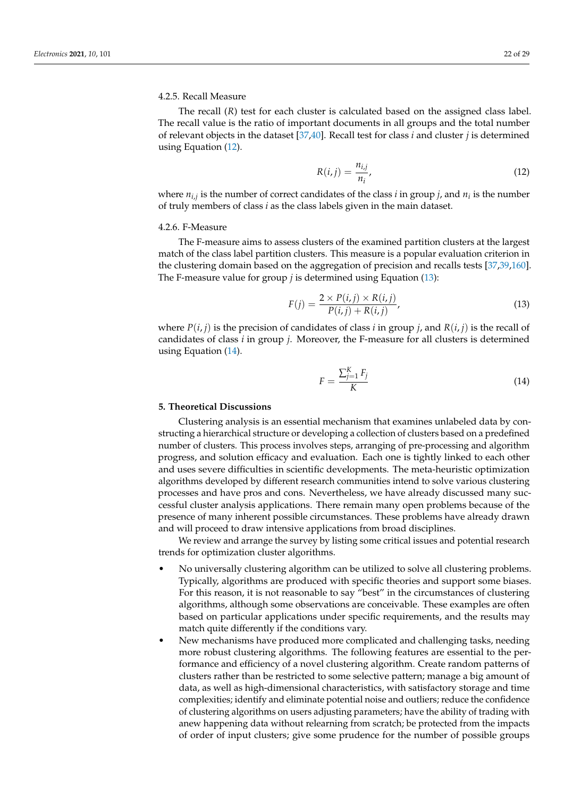## 4.2.5. Recall Measure

The recall (*R*) test for each cluster is calculated based on the assigned class label. The recall value is the ratio of important documents in all groups and the total number of relevant objects in the dataset [\[37,](#page-24-6)[40\]](#page-24-8). Recall test for class *i* and cluster *j* is determined using Equation [\(12\)](#page-21-1).

<span id="page-21-1"></span>
$$
R(i,j) = \frac{n_{i,j}}{n_i},\tag{12}
$$

where *ni*,*<sup>j</sup>* is the number of correct candidates of the class *i* in group *j*, and *n<sup>i</sup>* is the number of truly members of class *i* as the class labels given in the main dataset.

#### 4.2.6. F-Measure

The F-measure aims to assess clusters of the examined partition clusters at the largest match of the class label partition clusters. This measure is a popular evaluation criterion in the clustering domain based on the aggregation of precision and recalls tests [\[37,](#page-24-6)[39,](#page-24-7)[160\]](#page-28-21). The F-measure value for group *j* is determined using Equation [\(13\)](#page-21-2):

<span id="page-21-2"></span>
$$
F(j) = \frac{2 \times P(i,j) \times R(i,j)}{P(i,j) + R(i,j)},
$$
\n(13)

where  $P(i, j)$  is the precision of candidates of class *i* in group *j*, and  $R(i, j)$  is the recall of candidates of class *i* in group *j*. Moreover, the F-measure for all clusters is determined using Equation [\(14\)](#page-21-3).

<span id="page-21-3"></span>
$$
F = \frac{\sum_{j=1}^{K} F_j}{K} \tag{14}
$$

# <span id="page-21-0"></span>**5. Theoretical Discussions**

Clustering analysis is an essential mechanism that examines unlabeled data by constructing a hierarchical structure or developing a collection of clusters based on a predefined number of clusters. This process involves steps, arranging of pre-processing and algorithm progress, and solution efficacy and evaluation. Each one is tightly linked to each other and uses severe difficulties in scientific developments. The meta-heuristic optimization algorithms developed by different research communities intend to solve various clustering processes and have pros and cons. Nevertheless, we have already discussed many successful cluster analysis applications. There remain many open problems because of the presence of many inherent possible circumstances. These problems have already drawn and will proceed to draw intensive applications from broad disciplines.

We review and arrange the survey by listing some critical issues and potential research trends for optimization cluster algorithms.

- No universally clustering algorithm can be utilized to solve all clustering problems. Typically, algorithms are produced with specific theories and support some biases. For this reason, it is not reasonable to say "best" in the circumstances of clustering algorithms, although some observations are conceivable. These examples are often based on particular applications under specific requirements, and the results may match quite differently if the conditions vary.
- New mechanisms have produced more complicated and challenging tasks, needing more robust clustering algorithms. The following features are essential to the performance and efficiency of a novel clustering algorithm. Create random patterns of clusters rather than be restricted to some selective pattern; manage a big amount of data, as well as high-dimensional characteristics, with satisfactory storage and time complexities; identify and eliminate potential noise and outliers; reduce the confidence of clustering algorithms on users adjusting parameters; have the ability of trading with anew happening data without relearning from scratch; be protected from the impacts of order of input clusters; give some prudence for the number of possible groups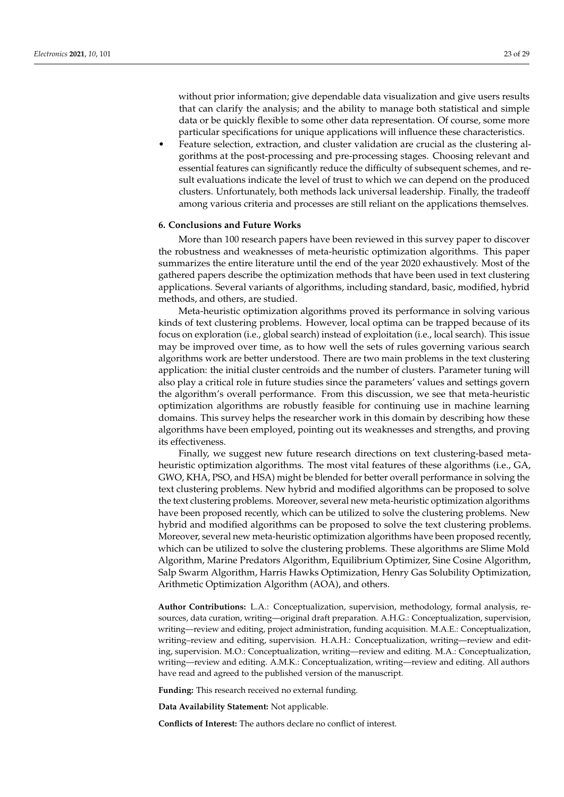without prior information; give dependable data visualization and give users results that can clarify the analysis; and the ability to manage both statistical and simple data or be quickly flexible to some other data representation. Of course, some more particular specifications for unique applications will influence these characteristics.

• Feature selection, extraction, and cluster validation are crucial as the clustering algorithms at the post-processing and pre-processing stages. Choosing relevant and essential features can significantly reduce the difficulty of subsequent schemes, and result evaluations indicate the level of trust to which we can depend on the produced clusters. Unfortunately, both methods lack universal leadership. Finally, the tradeoff among various criteria and processes are still reliant on the applications themselves.

#### <span id="page-22-0"></span>**6. Conclusions and Future Works**

More than 100 research papers have been reviewed in this survey paper to discover the robustness and weaknesses of meta-heuristic optimization algorithms. This paper summarizes the entire literature until the end of the year 2020 exhaustively. Most of the gathered papers describe the optimization methods that have been used in text clustering applications. Several variants of algorithms, including standard, basic, modified, hybrid methods, and others, are studied.

Meta-heuristic optimization algorithms proved its performance in solving various kinds of text clustering problems. However, local optima can be trapped because of its focus on exploration (i.e., global search) instead of exploitation (i.e., local search). This issue may be improved over time, as to how well the sets of rules governing various search algorithms work are better understood. There are two main problems in the text clustering application: the initial cluster centroids and the number of clusters. Parameter tuning will also play a critical role in future studies since the parameters' values and settings govern the algorithm's overall performance. From this discussion, we see that meta-heuristic optimization algorithms are robustly feasible for continuing use in machine learning domains. This survey helps the researcher work in this domain by describing how these algorithms have been employed, pointing out its weaknesses and strengths, and proving its effectiveness.

Finally, we suggest new future research directions on text clustering-based metaheuristic optimization algorithms. The most vital features of these algorithms (i.e., GA, GWO, KHA, PSO, and HSA) might be blended for better overall performance in solving the text clustering problems. New hybrid and modified algorithms can be proposed to solve the text clustering problems. Moreover, several new meta-heuristic optimization algorithms have been proposed recently, which can be utilized to solve the clustering problems. New hybrid and modified algorithms can be proposed to solve the text clustering problems. Moreover, several new meta-heuristic optimization algorithms have been proposed recently, which can be utilized to solve the clustering problems. These algorithms are Slime Mold Algorithm, Marine Predators Algorithm, Equilibrium Optimizer, Sine Cosine Algorithm, Salp Swarm Algorithm, Harris Hawks Optimization, Henry Gas Solubility Optimization, Arithmetic Optimization Algorithm (AOA), and others.

**Author Contributions:** L.A.: Conceptualization, supervision, methodology, formal analysis, resources, data curation, writing—original draft preparation. A.H.G.: Conceptualization, supervision, writing—review and editing, project administration, funding acquisition. M.A.E.: Conceptualization, writing–review and editing, supervision. H.A.H.: Conceptualization, writing—review and editing, supervision. M.O.: Conceptualization, writing—review and editing. M.A.: Conceptualization, writing—review and editing. A.M.K.: Conceptualization, writing—review and editing. All authors have read and agreed to the published version of the manuscript.

**Funding:** This research received no external funding.

**Data Availability Statement:** Not applicable.

**Conflicts of Interest:** The authors declare no conflict of interest.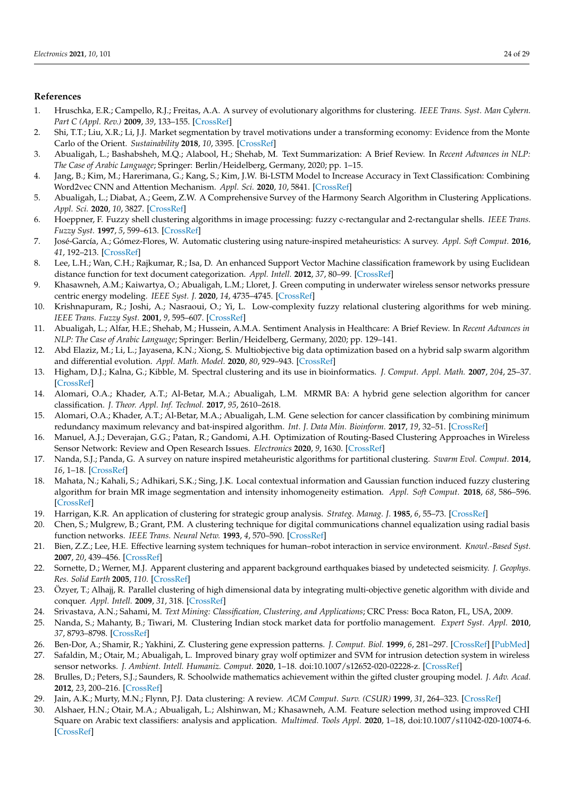# **References**

- <span id="page-23-0"></span>1. Hruschka, E.R.; Campello, R.J.; Freitas, A.A. A survey of evolutionary algorithms for clustering. *IEEE Trans. Syst. Man Cybern. Part C (Appl. Rev.)* **2009**, *39*, 133–155. [\[CrossRef\]](http://doi.org/10.1109/TSMCC.2008.2007252)
- <span id="page-23-1"></span>2. Shi, T.T.; Liu, X.R.; Li, J.J. Market segmentation by travel motivations under a transforming economy: Evidence from the Monte Carlo of the Orient. *Sustainability* **2018**, *10*, 3395. [\[CrossRef\]](http://dx.doi.org/10.3390/su10103395)
- <span id="page-23-2"></span>3. Abualigah, L.; Bashabsheh, M.Q.; Alabool, H.; Shehab, M. Text Summarization: A Brief Review. In *Recent Advances in NLP: The Case of Arabic Language*; Springer: Berlin/Heidelberg, Germany, 2020; pp. 1–15.
- <span id="page-23-3"></span>4. Jang, B.; Kim, M.; Harerimana, G.; Kang, S.; Kim, J.W. Bi-LSTM Model to Increase Accuracy in Text Classification: Combining Word2vec CNN and Attention Mechanism. *Appl. Sci.* **2020**, *10*, 5841. [\[CrossRef\]](http://dx.doi.org/10.3390/app10175841)
- <span id="page-23-4"></span>5. Abualigah, L.; Diabat, A.; Geem, Z.W. A Comprehensive Survey of the Harmony Search Algorithm in Clustering Applications. *Appl. Sci.* **2020**, *10*, 3827. [\[CrossRef\]](http://dx.doi.org/10.3390/app10113827)
- <span id="page-23-5"></span>6. Hoeppner, F. Fuzzy shell clustering algorithms in image processing: fuzzy c-rectangular and 2-rectangular shells. *IEEE Trans. Fuzzy Syst.* **1997**, *5*, 599–613. [\[CrossRef\]](http://dx.doi.org/10.1109/91.649912)
- <span id="page-23-6"></span>7. José-García, A.; Gómez-Flores, W. Automatic clustering using nature-inspired metaheuristics: A survey. *Appl. Soft Comput.* **2016**, *41*, 192–213. [\[CrossRef\]](http://dx.doi.org/10.1016/j.asoc.2015.12.001)
- <span id="page-23-7"></span>8. Lee, L.H.; Wan, C.H.; Rajkumar, R.; Isa, D. An enhanced Support Vector Machine classification framework by using Euclidean distance function for text document categorization. *Appl. Intell.* **2012**, *37*, 80–99. [\[CrossRef\]](http://dx.doi.org/10.1007/s10489-011-0314-z)
- <span id="page-23-8"></span>9. Khasawneh, A.M.; Kaiwartya, O.; Abualigah, L.M.; Lloret, J. Green computing in underwater wireless sensor networks pressure centric energy modeling. *IEEE Syst. J.* **2020**, *14*, 4735–4745. [\[CrossRef\]](http://dx.doi.org/10.1109/JSYST.2020.2996421)
- <span id="page-23-9"></span>10. Krishnapuram, R.; Joshi, A.; Nasraoui, O.; Yi, L. Low-complexity fuzzy relational clustering algorithms for web mining. *IEEE Trans. Fuzzy Syst.* **2001**, *9*, 595–607. [\[CrossRef\]](http://dx.doi.org/10.1109/91.940971)
- <span id="page-23-10"></span>11. Abualigah, L.; Alfar, H.E.; Shehab, M.; Hussein, A.M.A. Sentiment Analysis in Healthcare: A Brief Review. In *Recent Advances in NLP: The Case of Arabic Language*; Springer: Berlin/Heidelberg, Germany, 2020; pp. 129–141.
- <span id="page-23-11"></span>12. Abd Elaziz, M.; Li, L.; Jayasena, K.N.; Xiong, S. Multiobjective big data optimization based on a hybrid salp swarm algorithm and differential evolution. *Appl. Math. Model.* **2020**, *80*, 929–943. [\[CrossRef\]](http://dx.doi.org/10.1016/j.apm.2019.10.069)
- <span id="page-23-12"></span>13. Higham, D.J.; Kalna, G.; Kibble, M. Spectral clustering and its use in bioinformatics. *J. Comput. Appl. Math.* **2007**, *204*, 25–37. [\[CrossRef\]](http://dx.doi.org/10.1016/j.cam.2006.04.026)
- <span id="page-23-13"></span>14. Alomari, O.A.; Khader, A.T.; Al-Betar, M.A.; Abualigah, L.M. MRMR BA: A hybrid gene selection algorithm for cancer classification. *J. Theor. Appl. Inf. Technol.* **2017**, *95*, 2610–2618.
- <span id="page-23-14"></span>15. Alomari, O.A.; Khader, A.T.; Al-Betar, M.A.; Abualigah, L.M. Gene selection for cancer classification by combining minimum redundancy maximum relevancy and bat-inspired algorithm. *Int. J. Data Min. Bioinform.* **2017**, *19*, 32–51. [\[CrossRef\]](http://dx.doi.org/10.1504/IJDMB.2017.088538)
- <span id="page-23-15"></span>16. Manuel, A.J.; Deverajan, G.G.; Patan, R.; Gandomi, A.H. Optimization of Routing-Based Clustering Approaches in Wireless Sensor Network: Review and Open Research Issues. *Electronics* **2020**, *9*, 1630. [\[CrossRef\]](http://dx.doi.org/10.3390/electronics9101630)
- <span id="page-23-16"></span>17. Nanda, S.J.; Panda, G. A survey on nature inspired metaheuristic algorithms for partitional clustering. *Swarm Evol. Comput.* **2014**, *16*, 1–18. [\[CrossRef\]](http://dx.doi.org/10.1016/j.swevo.2013.11.003)
- <span id="page-23-17"></span>18. Mahata, N.; Kahali, S.; Adhikari, S.K.; Sing, J.K. Local contextual information and Gaussian function induced fuzzy clustering algorithm for brain MR image segmentation and intensity inhomogeneity estimation. *Appl. Soft Comput.* **2018**, *68*, 586–596. [\[CrossRef\]](http://dx.doi.org/10.1016/j.asoc.2018.04.031)
- <span id="page-23-18"></span>19. Harrigan, K.R. An application of clustering for strategic group analysis. *Strateg. Manag. J.* **1985**, *6*, 55–73. [\[CrossRef\]](http://dx.doi.org/10.1002/smj.4250060105)
- <span id="page-23-19"></span>20. Chen, S.; Mulgrew, B.; Grant, P.M. A clustering technique for digital communications channel equalization using radial basis function networks. *IEEE Trans. Neural Netw.* **1993**, *4*, 570–590. [\[CrossRef\]](http://dx.doi.org/10.1109/72.238312)
- <span id="page-23-20"></span>21. Bien, Z.Z.; Lee, H.E. Effective learning system techniques for human–robot interaction in service environment. *Knowl.-Based Syst.* **2007**, *20*, 439–456. [\[CrossRef\]](http://dx.doi.org/10.1016/j.knosys.2007.01.005)
- <span id="page-23-21"></span>22. Sornette, D.; Werner, M.J. Apparent clustering and apparent background earthquakes biased by undetected seismicity. *J. Geophys. Res. Solid Earth* **2005**, *110*. [\[CrossRef\]](http://dx.doi.org/10.1029/2005JB003621)
- <span id="page-23-22"></span>23. Özyer, T.; Alhajj, R. Parallel clustering of high dimensional data by integrating multi-objective genetic algorithm with divide and conquer. *Appl. Intell.* **2009**, *31*, 318. [\[CrossRef\]](http://dx.doi.org/10.1007/s10489-008-0129-8)
- <span id="page-23-23"></span>24. Srivastava, A.N.; Sahami, M. *Text Mining: Classification, Clustering, and Applications*; CRC Press: Boca Raton, FL, USA, 2009.
- <span id="page-23-24"></span>25. Nanda, S.; Mahanty, B.; Tiwari, M. Clustering Indian stock market data for portfolio management. *Expert Syst. Appl.* **2010**, *37*, 8793–8798. [\[CrossRef\]](http://dx.doi.org/10.1016/j.eswa.2010.06.026)
- <span id="page-23-25"></span>26. Ben-Dor, A.; Shamir, R.; Yakhini, Z. Clustering gene expression patterns. *J. Comput. Biol.* **1999**, *6*, 281–297. [\[CrossRef\]](http://dx.doi.org/10.1089/106652799318274) [\[PubMed\]](http://www.ncbi.nlm.nih.gov/pubmed/10582567)
- <span id="page-23-26"></span>27. Safaldin, M.; Otair, M.; Abualigah, L. Improved binary gray wolf optimizer and SVM for intrusion detection system in wireless sensor networks. *J. Ambient. Intell. Humaniz. Comput.* **2020**, 1–18. doi:10.1007/s12652-020-02228-z. [\[CrossRef\]](http://dx.doi.org/10.1007/s12652-020-02228-z)
- <span id="page-23-27"></span>28. Brulles, D.; Peters, S.J.; Saunders, R. Schoolwide mathematics achievement within the gifted cluster grouping model. *J. Adv. Acad.* **2012**, *23*, 200–216. [\[CrossRef\]](http://dx.doi.org/10.1177/1932202X12451439)
- <span id="page-23-28"></span>29. Jain, A.K.; Murty, M.N.; Flynn, P.J. Data clustering: A review. *ACM Comput. Surv. (CSUR)* **1999**, *31*, 264–323. [\[CrossRef\]](http://dx.doi.org/10.1145/331499.331504)
- <span id="page-23-29"></span>30. Alshaer, H.N.; Otair, M.A.; Abualigah, L.; Alshinwan, M.; Khasawneh, A.M. Feature selection method using improved CHI Square on Arabic text classifiers: analysis and application. *Multimed. Tools Appl.* **2020**, 1–18, doi:10.1007/s11042-020-10074-6. [\[CrossRef\]](http://dx.doi.org/10.1007/s11042-020-10074-6)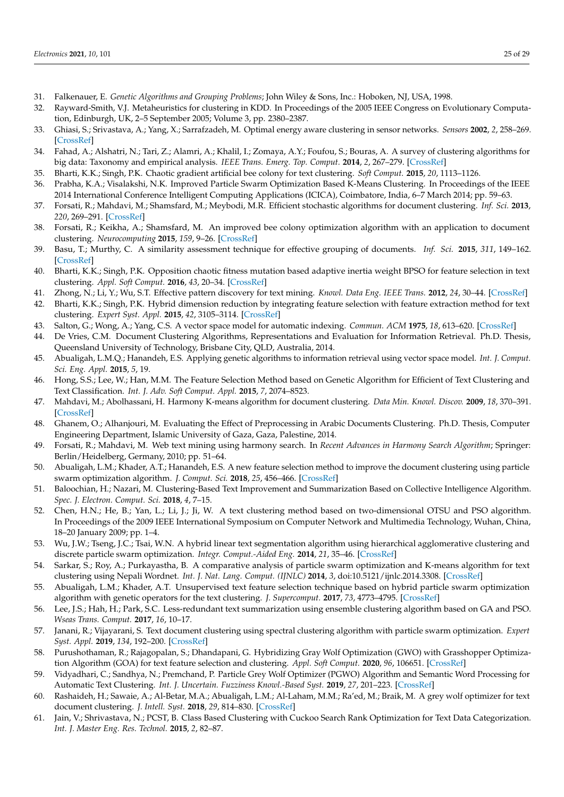- <span id="page-24-0"></span>31. Falkenauer, E. *Genetic Algorithms and Grouping Problems*; John Wiley & Sons, Inc.: Hoboken, NJ, USA, 1998.
- <span id="page-24-1"></span>32. Rayward-Smith, V.J. Metaheuristics for clustering in KDD. In Proceedings of the 2005 IEEE Congress on Evolutionary Computation, Edinburgh, UK, 2–5 September 2005; Volume 3, pp. 2380–2387.
- <span id="page-24-2"></span>33. Ghiasi, S.; Srivastava, A.; Yang, X.; Sarrafzadeh, M. Optimal energy aware clustering in sensor networks. *Sensors* **2002**, *2*, 258–269. [\[CrossRef\]](http://dx.doi.org/10.3390/s20700258)
- <span id="page-24-3"></span>34. Fahad, A.; Alshatri, N.; Tari, Z.; Alamri, A.; Khalil, I.; Zomaya, A.Y.; Foufou, S.; Bouras, A. A survey of clustering algorithms for big data: Taxonomy and empirical analysis. *IEEE Trans. Emerg. Top. Comput.* **2014**, *2*, 267–279. [\[CrossRef\]](http://dx.doi.org/10.1109/TETC.2014.2330519)
- <span id="page-24-4"></span>35. Bharti, K.K.; Singh, P.K. Chaotic gradient artificial bee colony for text clustering. *Soft Comput.* **2015**, *20*, 1113–1126.
- <span id="page-24-5"></span>36. Prabha, K.A.; Visalakshi, N.K. Improved Particle Swarm Optimization Based K-Means Clustering. In Proceedings of the IEEE 2014 International Conference Intelligent Computing Applications (ICICA), Coimbatore, India, 6–7 March 2014; pp. 59–63.
- <span id="page-24-6"></span>37. Forsati, R.; Mahdavi, M.; Shamsfard, M.; Meybodi, M.R. Efficient stochastic algorithms for document clustering. *Inf. Sci.* **2013**, *220*, 269–291. [\[CrossRef\]](http://dx.doi.org/10.1016/j.ins.2012.07.025)
- <span id="page-24-18"></span>38. Forsati, R.; Keikha, A.; Shamsfard, M. An improved bee colony optimization algorithm with an application to document clustering. *Neurocomputing* **2015**, *159*, 9–26. [\[CrossRef\]](http://dx.doi.org/10.1016/j.neucom.2015.02.048)
- <span id="page-24-7"></span>39. Basu, T.; Murthy, C. A similarity assessment technique for effective grouping of documents. *Inf. Sci.* **2015**, *311*, 149–162. [\[CrossRef\]](http://dx.doi.org/10.1016/j.ins.2015.03.038)
- <span id="page-24-8"></span>40. Bharti, K.K.; Singh, P.K. Opposition chaotic fitness mutation based adaptive inertia weight BPSO for feature selection in text clustering. *Appl. Soft Comput.* **2016**, *43*, 20–34. [\[CrossRef\]](http://dx.doi.org/10.1016/j.asoc.2016.01.019)
- <span id="page-24-9"></span>41. Zhong, N.; Li, Y.; Wu, S.T. Effective pattern discovery for text mining. *Knowl. Data Eng. IEEE Trans.* **2012**, *24*, 30–44. [\[CrossRef\]](http://dx.doi.org/10.1109/TKDE.2010.211)
- <span id="page-24-10"></span>42. Bharti, K.K.; Singh, P.K. Hybrid dimension reduction by integrating feature selection with feature extraction method for text clustering. *Expert Syst. Appl.* **2015**, *42*, 3105–3114. [\[CrossRef\]](http://dx.doi.org/10.1016/j.eswa.2014.11.038)
- <span id="page-24-11"></span>43. Salton, G.; Wong, A.; Yang, C.S. A vector space model for automatic indexing. *Commun. ACM* **1975**, *18*, 613–620. [\[CrossRef\]](http://dx.doi.org/10.1145/361219.361220)
- <span id="page-24-12"></span>44. De Vries, C.M. Document Clustering Algorithms, Representations and Evaluation for Information Retrieval. Ph.D. Thesis, Queensland University of Technology, Brisbane City, QLD, Australia, 2014.
- <span id="page-24-13"></span>45. Abualigah, L.M.Q.; Hanandeh, E.S. Applying genetic algorithms to information retrieval using vector space model. *Int. J. Comput. Sci. Eng. Appl.* **2015**, *5*, 19.
- <span id="page-24-14"></span>46. Hong, S.S.; Lee, W.; Han, M.M. The Feature Selection Method based on Genetic Algorithm for Efficient of Text Clustering and Text Classification. *Int. J. Adv. Soft Comput. Appl.* **2015**, *7*, 2074–8523.
- <span id="page-24-15"></span>47. Mahdavi, M.; Abolhassani, H. Harmony K-means algorithm for document clustering. *Data Min. Knowl. Discov.* **2009**, *18*, 370–391. [\[CrossRef\]](http://dx.doi.org/10.1007/s10618-008-0123-0)
- <span id="page-24-16"></span>48. Ghanem, O.; Alhanjouri, M. Evaluating the Effect of Preprocessing in Arabic Documents Clustering. Ph.D. Thesis, Computer Engineering Department, Islamic University of Gaza, Gaza, Palestine, 2014.
- <span id="page-24-17"></span>49. Forsati, R.; Mahdavi, M. Web text mining using harmony search. In *Recent Advances in Harmony Search Algorithm*; Springer: Berlin/Heidelberg, Germany, 2010; pp. 51–64.
- <span id="page-24-19"></span>50. Abualigah, L.M.; Khader, A.T.; Hanandeh, E.S. A new feature selection method to improve the document clustering using particle swarm optimization algorithm. *J. Comput. Sci.* **2018**, *25*, 456–466. [\[CrossRef\]](http://dx.doi.org/10.1016/j.jocs.2017.07.018)
- <span id="page-24-20"></span>51. Baloochian, H.; Nazari, M. Clustering-Based Text Improvement and Summarization Based on Collective Intelligence Algorithm. *Spec. J. Electron. Comput. Sci.* **2018**, *4*, 7–15.
- <span id="page-24-21"></span>52. Chen, H.N.; He, B.; Yan, L.; Li, J.; Ji, W. A text clustering method based on two-dimensional OTSU and PSO algorithm. In Proceedings of the 2009 IEEE International Symposium on Computer Network and Multimedia Technology, Wuhan, China, 18–20 January 2009; pp. 1–4.
- <span id="page-24-22"></span>53. Wu, J.W.; Tseng, J.C.; Tsai, W.N. A hybrid linear text segmentation algorithm using hierarchical agglomerative clustering and discrete particle swarm optimization. *Integr. Comput.-Aided Eng.* **2014**, *21*, 35–46. [\[CrossRef\]](http://dx.doi.org/10.3233/ICA-130446)
- <span id="page-24-23"></span>54. Sarkar, S.; Roy, A.; Purkayastha, B. A comparative analysis of particle swarm optimization and K-means algorithm for text clustering using Nepali Wordnet. *Int. J. Nat. Lang. Comput. (IJNLC)* **2014**, *3*, doi:10.5121/ijnlc.2014.3308. [\[CrossRef\]](http://dx.doi.org/10.5121/ijnlc.2014.3308)
- <span id="page-24-24"></span>55. Abualigah, L.M.; Khader, A.T. Unsupervised text feature selection technique based on hybrid particle swarm optimization algorithm with genetic operators for the text clustering. *J. Supercomput.* **2017**, *73*, 4773–4795. [\[CrossRef\]](http://dx.doi.org/10.1007/s11227-017-2046-2)
- <span id="page-24-25"></span>56. Lee, J.S.; Hah, H.; Park, S.C. Less-redundant text summarization using ensemble clustering algorithm based on GA and PSO. *Wseas Trans. Comput.* **2017**, *16*, 10–17.
- <span id="page-24-26"></span>57. Janani, R.; Vijayarani, S. Text document clustering using spectral clustering algorithm with particle swarm optimization. *Expert Syst. Appl.* **2019**, *134*, 192–200. [\[CrossRef\]](http://dx.doi.org/10.1016/j.eswa.2019.05.030)
- <span id="page-24-27"></span>58. Purushothaman, R.; Rajagopalan, S.; Dhandapani, G. Hybridizing Gray Wolf Optimization (GWO) with Grasshopper Optimization Algorithm (GOA) for text feature selection and clustering. *Appl. Soft Comput.* **2020**, *96*, 106651. [\[CrossRef\]](http://dx.doi.org/10.1016/j.asoc.2020.106651)
- <span id="page-24-28"></span>59. Vidyadhari, C.; Sandhya, N.; Premchand, P. Particle Grey Wolf Optimizer (PGWO) Algorithm and Semantic Word Processing for Automatic Text Clustering. *Int. J. Uncertain. Fuzziness Knowl.-Based Syst.* **2019**, *27*, 201–223. [\[CrossRef\]](http://dx.doi.org/10.1142/S0218488519500090)
- <span id="page-24-29"></span>60. Rashaideh, H.; Sawaie, A.; Al-Betar, M.A.; Abualigah, L.M.; Al-Laham, M.M.; Ra'ed, M.; Braik, M. A grey wolf optimizer for text document clustering. *J. Intell. Syst.* **2018**, *29*, 814–830. [\[CrossRef\]](http://dx.doi.org/10.1515/jisys-2018-0194)
- <span id="page-24-30"></span>61. Jain, V.; Shrivastava, N.; PCST, B. Class Based Clustering with Cuckoo Search Rank Optimization for Text Data Categorization. *Int. J. Master Eng. Res. Technol.* **2015**, *2*, 82–87.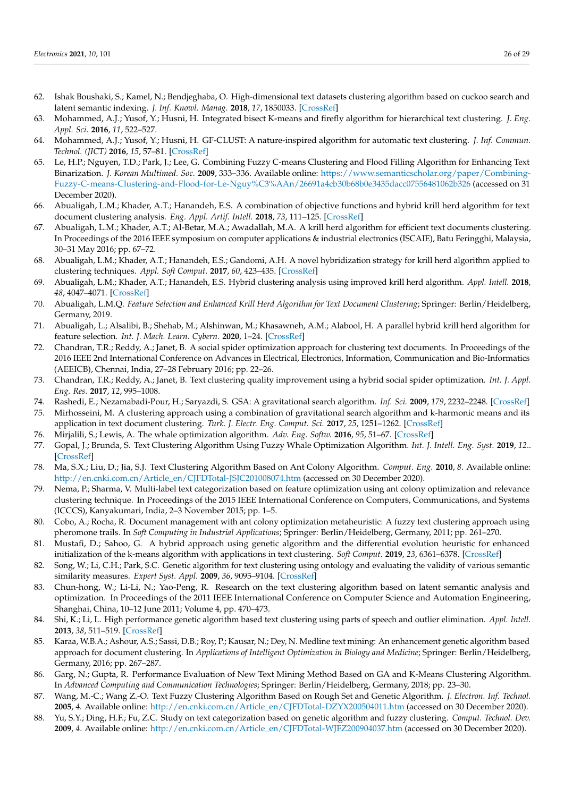- <span id="page-25-0"></span>62. Ishak Boushaki, S.; Kamel, N.; Bendjeghaba, O. High-dimensional text datasets clustering algorithm based on cuckoo search and latent semantic indexing. *J. Inf. Knowl. Manag.* **2018**, *17*, 1850033. [\[CrossRef\]](http://dx.doi.org/10.1142/S0219649218500338)
- <span id="page-25-1"></span>63. Mohammed, A.J.; Yusof, Y.; Husni, H. Integrated bisect K-means and firefly algorithm for hierarchical text clustering. *J. Eng. Appl. Sci.* **2016**, *11*, 522–527.
- <span id="page-25-2"></span>64. Mohammed, A.J.; Yusof, Y.; Husni, H. GF-CLUST: A nature-inspired algorithm for automatic text clustering. *J. Inf. Commun. Technol. (JICT)* **2016**, *15*, 57–81. [\[CrossRef\]](http://dx.doi.org/10.32890/jict2016.15.1.3)
- <span id="page-25-3"></span>65. Le, H.P.; Nguyen, T.D.; Park, J.; Lee, G. Combining Fuzzy C-means Clustering and Flood Filling Algorithm for Enhancing Text Binarization. *J. Korean Multimed. Soc.* **2009**, 333–336. Available online: [https://www.semanticscholar.org/paper/Combining-](https://www.semanticscholar.org/paper/Combining-Fuzzy-C-means-Clustering-and-Flood-for-Le-Nguy%C3%AAn/26691a4cb30b68b0e3435dacc07556481062b326)[Fuzzy-C-means-Clustering-and-Flood-for-Le-Nguy%C3%AAn/26691a4cb30b68b0e3435dacc07556481062b326](https://www.semanticscholar.org/paper/Combining-Fuzzy-C-means-Clustering-and-Flood-for-Le-Nguy%C3%AAn/26691a4cb30b68b0e3435dacc07556481062b326) (accessed on 31 December 2020).
- <span id="page-25-4"></span>66. Abualigah, L.M.; Khader, A.T.; Hanandeh, E.S. A combination of objective functions and hybrid krill herd algorithm for text document clustering analysis. *Eng. Appl. Artif. Intell.* **2018**, *73*, 111–125. [\[CrossRef\]](http://dx.doi.org/10.1016/j.engappai.2018.05.003)
- <span id="page-25-5"></span>67. Abualigah, L.M.; Khader, A.T.; Al-Betar, M.A.; Awadallah, M.A. A krill herd algorithm for efficient text documents clustering. In Proceedings of the 2016 IEEE symposium on computer applications & industrial electronics (ISCAIE), Batu Feringghi, Malaysia, 30–31 May 2016; pp. 67–72.
- <span id="page-25-6"></span>68. Abualigah, L.M.; Khader, A.T.; Hanandeh, E.S.; Gandomi, A.H. A novel hybridization strategy for krill herd algorithm applied to clustering techniques. *Appl. Soft Comput.* **2017**, *60*, 423–435. [\[CrossRef\]](http://dx.doi.org/10.1016/j.asoc.2017.06.059)
- <span id="page-25-7"></span>69. Abualigah, L.M.; Khader, A.T.; Hanandeh, E.S. Hybrid clustering analysis using improved krill herd algorithm. *Appl. Intell.* **2018**, *48*, 4047–4071. [\[CrossRef\]](http://dx.doi.org/10.1007/s10489-018-1190-6)
- <span id="page-25-8"></span>70. Abualigah, L.M.Q. *Feature Selection and Enhanced Krill Herd Algorithm for Text Document Clustering*; Springer: Berlin/Heidelberg, Germany, 2019.
- <span id="page-25-9"></span>71. Abualigah, L.; Alsalibi, B.; Shehab, M.; Alshinwan, M.; Khasawneh, A.M.; Alabool, H. A parallel hybrid krill herd algorithm for feature selection. *Int. J. Mach. Learn. Cybern.* **2020**, 1–24. [\[CrossRef\]](http://dx.doi.org/10.1007/s13042-020-01202-7)
- <span id="page-25-10"></span>72. Chandran, T.R.; Reddy, A.; Janet, B. A social spider optimization approach for clustering text documents. In Proceedings of the 2016 IEEE 2nd International Conference on Advances in Electrical, Electronics, Information, Communication and Bio-Informatics (AEEICB), Chennai, India, 27–28 February 2016; pp. 22–26.
- <span id="page-25-11"></span>73. Chandran, T.R.; Reddy, A.; Janet, B. Text clustering quality improvement using a hybrid social spider optimization. *Int. J. Appl. Eng. Res.* **2017**, *12*, 995–1008.
- <span id="page-25-12"></span>74. Rashedi, E.; Nezamabadi-Pour, H.; Saryazdi, S. GSA: A gravitational search algorithm. *Inf. Sci.* **2009**, *179*, 2232–2248. [\[CrossRef\]](http://dx.doi.org/10.1016/j.ins.2009.03.004)
- <span id="page-25-13"></span>75. Mirhosseini, M. A clustering approach using a combination of gravitational search algorithm and k-harmonic means and its application in text document clustering. *Turk. J. Electr. Eng. Comput. Sci.* **2017**, *25*, 1251–1262. [\[CrossRef\]](http://dx.doi.org/10.3906/elk-1508-31)
- <span id="page-25-14"></span>76. Mirjalili, S.; Lewis, A. The whale optimization algorithm. *Adv. Eng. Softw.* **2016**, *95*, 51–67. [\[CrossRef\]](http://dx.doi.org/10.1016/j.advengsoft.2016.01.008)
- <span id="page-25-15"></span>77. Gopal, J.; Brunda, S. Text Clustering Algorithm Using Fuzzy Whale Optimization Algorithm. *Int. J. Intell. Eng. Syst.* **2019**, *12*.. [\[CrossRef\]](http://dx.doi.org/10.22266/ijies2019.0430.27)
- <span id="page-25-16"></span>78. Ma, S.X.; Liu, D.; Jia, S.J. Text Clustering Algorithm Based on Ant Colony Algorithm. *Comput. Eng.* **2010**, *8*. Available online: [http://en.cnki.com.cn/Article\\_en/CJFDTotal-JSJC201008074.htm](http://en.cnki.com.cn/Article_en/CJFDTotal-JSJC201008074.htm) (accessed on 30 December 2020).
- <span id="page-25-17"></span>79. Nema, P.; Sharma, V. Multi-label text categorization based on feature optimization using ant colony optimization and relevance clustering technique. In Proceedings of the 2015 IEEE International Conference on Computers, Communications, and Systems (ICCCS), Kanyakumari, India, 2–3 November 2015; pp. 1–5.
- <span id="page-25-18"></span>80. Cobo, A.; Rocha, R. Document management with ant colony optimization metaheuristic: A fuzzy text clustering approach using pheromone trails. In *Soft Computing in Industrial Applications*; Springer: Berlin/Heidelberg, Germany, 2011; pp. 261–270.
- <span id="page-25-19"></span>81. Mustafi, D.; Sahoo, G. A hybrid approach using genetic algorithm and the differential evolution heuristic for enhanced initialization of the k-means algorithm with applications in text clustering. *Soft Comput.* **2019**, *23*, 6361–6378. [\[CrossRef\]](http://dx.doi.org/10.1007/s00500-018-3289-4)
- <span id="page-25-20"></span>82. Song, W.; Li, C.H.; Park, S.C. Genetic algorithm for text clustering using ontology and evaluating the validity of various semantic similarity measures. *Expert Syst. Appl.* **2009**, *36*, 9095–9104. [\[CrossRef\]](http://dx.doi.org/10.1016/j.eswa.2008.12.046)
- <span id="page-25-21"></span>83. Chun-hong, W.; Li-Li, N.; Yao-Peng, R. Research on the text clustering algorithm based on latent semantic analysis and optimization. In Proceedings of the 2011 IEEE International Conference on Computer Science and Automation Engineering, Shanghai, China, 10–12 June 2011; Volume 4, pp. 470–473.
- <span id="page-25-22"></span>84. Shi, K.; Li, L. High performance genetic algorithm based text clustering using parts of speech and outlier elimination. *Appl. Intell.* **2013**, *38*, 511–519. [\[CrossRef\]](http://dx.doi.org/10.1007/s10489-012-0382-8)
- <span id="page-25-23"></span>85. Karaa, W.B.A.; Ashour, A.S.; Sassi, D.B.; Roy, P.; Kausar, N.; Dey, N. Medline text mining: An enhancement genetic algorithm based approach for document clustering. In *Applications of Intelligent Optimization in Biology and Medicine*; Springer: Berlin/Heidelberg, Germany, 2016; pp. 267–287.
- <span id="page-25-24"></span>86. Garg, N.; Gupta, R. Performance Evaluation of New Text Mining Method Based on GA and K-Means Clustering Algorithm. In *Advanced Computing and Communication Technologies*; Springer: Berlin/Heidelberg, Germany, 2018; pp. 23–30.
- <span id="page-25-25"></span>87. Wang, M.-C.; Wang Z.-O. Text Fuzzy Clustering Algorithm Based on Rough Set and Genetic Algorithm. *J. Electron. Inf. Technol.* **2005**, *4.* Available online: [http://en.cnki.com.cn/Article\\_en/CJFDTotal-DZYX200504011.htm](http://en.cnki.com.cn/Article_en/CJFDTotal-DZYX200504011.htm) (accessed on 30 December 2020).
- <span id="page-25-26"></span>88. Yu, S.Y.; Ding, H.F.; Fu, Z.C. Study on text categorization based on genetic algorithm and fuzzy clustering. *Comput. Technol. Dev.* **2009**, *4*. Available online: [http://en.cnki.com.cn/Article\\_en/CJFDTotal-WJFZ200904037.htm](http://en.cnki.com.cn/Article_en/CJFDTotal-WJFZ200904037.htm) (accessed on 30 December 2020).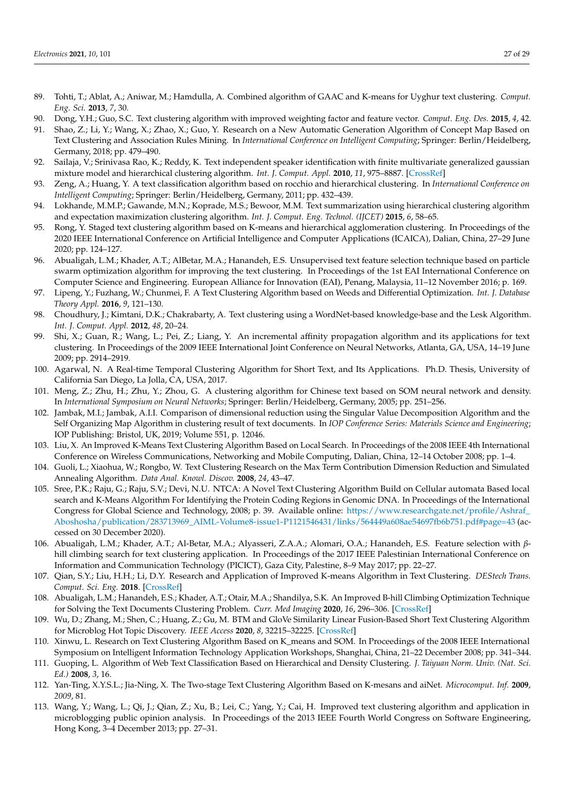- <span id="page-26-0"></span>89. Tohti, T.; Ablat, A.; Aniwar, M.; Hamdulla, A. Combined algorithm of GAAC and K-means for Uyghur text clustering. *Comput. Eng. Sci.* **2013**, *7*, 30.
- <span id="page-26-1"></span>90. Dong, Y.H.; Guo, S.C. Text clustering algorithm with improved weighting factor and feature vector. *Comput. Eng. Des.* **2015**, *4*, 42.
- <span id="page-26-2"></span>91. Shao, Z.; Li, Y.; Wang, X.; Zhao, X.; Guo, Y. Research on a New Automatic Generation Algorithm of Concept Map Based on Text Clustering and Association Rules Mining. In *International Conference on Intelligent Computing*; Springer: Berlin/Heidelberg, Germany, 2018; pp. 479–490.
- <span id="page-26-3"></span>92. Sailaja, V.; Srinivasa Rao, K.; Reddy, K. Text independent speaker identification with finite multivariate generalized gaussian mixture model and hierarchical clustering algorithm. *Int. J. Comput. Appl.* **2010**, *11*, 975–8887. [\[CrossRef\]](http://dx.doi.org/10.5120/1626-2187)
- <span id="page-26-4"></span>93. Zeng, A.; Huang, Y. A text classification algorithm based on rocchio and hierarchical clustering. In *International Conference on Intelligent Computing*; Springer: Berlin/Heidelberg, Germany, 2011; pp. 432–439.
- <span id="page-26-5"></span>94. Lokhande, M.M.P.; Gawande, M.N.; Koprade, M.S.; Bewoor, M.M. Text summarization using hierarchical clustering algorithm and expectation maximization clustering algorithm. *Int. J. Comput. Eng. Technol. (IJCET)* **2015**, *6*, 58–65.
- <span id="page-26-6"></span>95. Rong, Y. Staged text clustering algorithm based on K-means and hierarchical agglomeration clustering. In Proceedings of the 2020 IEEE International Conference on Artificial Intelligence and Computer Applications (ICAICA), Dalian, China, 27–29 June 2020; pp. 124–127.
- <span id="page-26-7"></span>96. Abualigah, L.M.; Khader, A.T.; AlBetar, M.A.; Hanandeh, E.S. Unsupervised text feature selection technique based on particle swarm optimization algorithm for improving the text clustering. In Proceedings of the 1st EAI International Conference on Computer Science and Engineering. European Alliance for Innovation (EAI), Penang, Malaysia, 11–12 November 2016; p. 169.
- <span id="page-26-8"></span>97. Lipeng, Y.; Fuzhang, W.; Chunmei, F. A Text Clustering Algorithm based on Weeds and Differential Optimization. *Int. J. Database Theory Appl.* **2016**, *9*, 121–130.
- <span id="page-26-9"></span>98. Choudhury, J.; Kimtani, D.K.; Chakrabarty, A. Text clustering using a WordNet-based knowledge-base and the Lesk Algorithm. *Int. J. Comput. Appl.* **2012**, *48*, 20–24.
- <span id="page-26-10"></span>99. Shi, X.; Guan, R.; Wang, L.; Pei, Z.; Liang, Y. An incremental affinity propagation algorithm and its applications for text clustering. In Proceedings of the 2009 IEEE International Joint Conference on Neural Networks, Atlanta, GA, USA, 14–19 June 2009; pp. 2914–2919.
- <span id="page-26-11"></span>100. Agarwal, N. A Real-time Temporal Clustering Algorithm for Short Text, and Its Applications. Ph.D. Thesis, University of California San Diego, La Jolla, CA, USA, 2017.
- <span id="page-26-12"></span>101. Meng, Z.; Zhu, H.; Zhu, Y.; Zhou, G. A clustering algorithm for Chinese text based on SOM neural network and density. In *International Symposium on Neural Networks*; Springer: Berlin/Heidelberg, Germany, 2005; pp. 251–256.
- <span id="page-26-13"></span>102. Jambak, M.I.; Jambak, A.I.I. Comparison of dimensional reduction using the Singular Value Decomposition Algorithm and the Self Organizing Map Algorithm in clustering result of text documents. In *IOP Conference Series: Materials Science and Engineering*; IOP Publishing: Bristol, UK, 2019; Volume 551, p. 12046.
- <span id="page-26-14"></span>103. Liu, X. An Improved K-Means Text Clustering Algorithm Based on Local Search. In Proceedings of the 2008 IEEE 4th International Conference on Wireless Communications, Networking and Mobile Computing, Dalian, China, 12–14 October 2008; pp. 1–4.
- <span id="page-26-15"></span>104. Guoli, L.; Xiaohua, W.; Rongbo, W. Text Clustering Research on the Max Term Contribution Dimension Reduction and Simulated Annealing Algorithm. *Data Anal. Knowl. Discov.* **2008**, *24*, 43–47.
- <span id="page-26-16"></span>105. Sree, P.K.; Raju, G.; Raju, S.V.; Devi, N.U. NTCA: A Novel Text Clustering Algorithm Build on Cellular automata Based local search and K-Means Algorithm For Identifying the Protein Coding Regions in Genomic DNA. In Proceedings of the International Congress for Global Science and Technology, 2008; p. 39. Available online: [https://www.researchgate.net/profile/Ashraf\\_](https://www.researchgate.net/profile/Ashraf_Aboshosha/publication/283713969_AIML-Volume8-issue1-P1121546431/links/564449a608ae54697fb6b751.pdf#page=43) [Aboshosha/publication/283713969\\_AIML-Volume8-issue1-P1121546431/links/564449a608ae54697fb6b751.pdf#page=43](https://www.researchgate.net/profile/Ashraf_Aboshosha/publication/283713969_AIML-Volume8-issue1-P1121546431/links/564449a608ae54697fb6b751.pdf#page=43) (accessed on 30 December 2020).
- <span id="page-26-17"></span>106. Abualigah, L.M.; Khader, A.T.; Al-Betar, M.A.; Alyasseri, Z.A.A.; Alomari, O.A.; Hanandeh, E.S. Feature selection with *β*hill climbing search for text clustering application. In Proceedings of the 2017 IEEE Palestinian International Conference on Information and Communication Technology (PICICT), Gaza City, Palestine, 8–9 May 2017; pp. 22–27.
- <span id="page-26-18"></span>107. Qian, S.Y.; Liu, H.H.; Li, D.Y. Research and Application of Improved K-means Algorithm in Text Clustering. *DEStech Trans. Comput. Sci. Eng.* **2018**. [\[CrossRef\]](http://dx.doi.org/10.12783/dtcse/pcmm2018/23653)
- <span id="page-26-19"></span>108. Abualigah, L.M.; Hanandeh, E.S.; Khader, A.T.; Otair, M.A.; Shandilya, S.K. An Improved B-hill Climbing Optimization Technique for Solving the Text Documents Clustering Problem. *Curr. Med Imaging* **2020**, *16*, 296–306. [\[CrossRef\]](http://dx.doi.org/10.2174/1573405614666180903112541)
- <span id="page-26-20"></span>109. Wu, D.; Zhang, M.; Shen, C.; Huang, Z.; Gu, M. BTM and GloVe Similarity Linear Fusion-Based Short Text Clustering Algorithm for Microblog Hot Topic Discovery. *IEEE Access* **2020**, *8*, 32215–32225. [\[CrossRef\]](http://dx.doi.org/10.1109/ACCESS.2020.2973430)
- <span id="page-26-21"></span>110. Xinwu, L. Research on Text Clustering Algorithm Based on K\_means and SOM. In Proceedings of the 2008 IEEE International Symposium on Intelligent Information Technology Application Workshops, Shanghai, China, 21–22 December 2008; pp. 341–344.
- <span id="page-26-22"></span>111. Guoping, L. Algorithm of Web Text Classification Based on Hierarchical and Density Clustering. *J. Taiyuan Norm. Univ. (Nat. Sci. Ed.)* **2008**, *3*, 16.
- <span id="page-26-23"></span>112. Yan-Ting, X.Y.S.L.; Jia-Ning, X. The Two-stage Text Clustering Algorithm Based on K-mesans and aiNet. *Microcomput. Inf.* **2009**, *2009*, 81.
- <span id="page-26-24"></span>113. Wang, Y.; Wang, L.; Qi, J.; Qian, Z.; Xu, B.; Lei, C.; Yang, Y.; Cai, H. Improved text clustering algorithm and application in microblogging public opinion analysis. In Proceedings of the 2013 IEEE Fourth World Congress on Software Engineering, Hong Kong, 3–4 December 2013; pp. 27–31.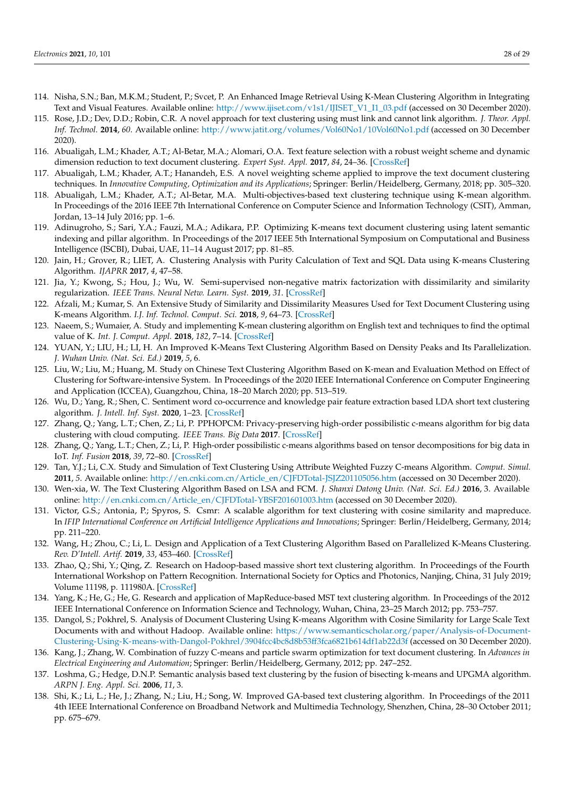- <span id="page-27-0"></span>114. Nisha, S.N.; Ban, M.K.M.; Student, P.; Svcet, P. An Enhanced Image Retrieval Using K-Mean Clustering Algorithm in Integrating Text and Visual Features. Available online: [http://www.ijiset.com/v1s1/IJISET\\_V1\\_I1\\_03.pdf](http://www.ijiset.com/v1s1/IJISET_V1_I1_03.pdf) (accessed on 30 December 2020).
- <span id="page-27-1"></span>115. Rose, J.D.; Dev, D.D.; Robin, C.R. A novel approach for text clustering using must link and cannot link algorithm. *J. Theor. Appl. Inf. Technol.* **2014**, *60*. Available online: <http://www.jatit.org/volumes/Vol60No1/10Vol60No1.pdf> (accessed on 30 December 2020).
- <span id="page-27-2"></span>116. Abualigah, L.M.; Khader, A.T.; Al-Betar, M.A.; Alomari, O.A. Text feature selection with a robust weight scheme and dynamic dimension reduction to text document clustering. *Expert Syst. Appl.* **2017**, *84*, 24–36. [\[CrossRef\]](http://dx.doi.org/10.1016/j.eswa.2017.05.002)
- <span id="page-27-3"></span>117. Abualigah, L.M.; Khader, A.T.; Hanandeh, E.S. A novel weighting scheme applied to improve the text document clustering techniques. In *Innovative Computing, Optimization and its Applications*; Springer: Berlin/Heidelberg, Germany, 2018; pp. 305–320.
- <span id="page-27-4"></span>118. Abualigah, L.M.; Khader, A.T.; Al-Betar, M.A. Multi-objectives-based text clustering technique using K-mean algorithm. In Proceedings of the 2016 IEEE 7th International Conference on Computer Science and Information Technology (CSIT), Amman, Jordan, 13–14 July 2016; pp. 1–6.
- <span id="page-27-5"></span>119. Adinugroho, S.; Sari, Y.A.; Fauzi, M.A.; Adikara, P.P. Optimizing K-means text document clustering using latent semantic indexing and pillar algorithm. In Proceedings of the 2017 IEEE 5th International Symposium on Computational and Business Intelligence (ISCBI), Dubai, UAE, 11–14 August 2017; pp. 81–85.
- <span id="page-27-6"></span>120. Jain, H.; Grover, R.; LIET, A. Clustering Analysis with Purity Calculation of Text and SQL Data using K-means Clustering Algorithm. *IJAPRR* **2017**, *4*, 47–58.
- <span id="page-27-7"></span>121. Jia, Y.; Kwong, S.; Hou, J.; Wu, W. Semi-supervised non-negative matrix factorization with dissimilarity and similarity regularization. *IEEE Trans. Neural Netw. Learn. Syst.* **2019**, *31*. [\[CrossRef\]](http://dx.doi.org/10.1109/TNNLS.2019.2933223)
- <span id="page-27-8"></span>122. Afzali, M.; Kumar, S. An Extensive Study of Similarity and Dissimilarity Measures Used for Text Document Clustering using K-means Algorithm. *I.J. Inf. Technol. Comput. Sci.* **2018**, *9*, 64–73. [\[CrossRef\]](http://dx.doi.org/10.5815/ijitcs.2018.09.08)
- <span id="page-27-9"></span>123. Naeem, S.; Wumaier, A. Study and implementing K-mean clustering algorithm on English text and techniques to find the optimal value of K. *Int. J. Comput. Appl.* **2018**, *182*, 7–14. [\[CrossRef\]](http://dx.doi.org/10.5120/ijca2018918234)
- <span id="page-27-10"></span>124. YUAN, Y.; LIU, H.; LI, H. An Improved K-Means Text Clustering Algorithm Based on Density Peaks and Its Parallelization. *J. Wuhan Univ. (Nat. Sci. Ed.)* **2019**, *5*, 6.
- <span id="page-27-11"></span>125. Liu, W.; Liu, M.; Huang, M. Study on Chinese Text Clustering Algorithm Based on K-mean and Evaluation Method on Effect of Clustering for Software-intensive System. In Proceedings of the 2020 IEEE International Conference on Computer Engineering and Application (ICCEA), Guangzhou, China, 18–20 March 2020; pp. 513–519.
- <span id="page-27-12"></span>126. Wu, D.; Yang, R.; Shen, C. Sentiment word co-occurrence and knowledge pair feature extraction based LDA short text clustering algorithm. *J. Intell. Inf. Syst.* **2020**, 1–23. [\[CrossRef\]](http://dx.doi.org/10.1007/s10844-020-00597-7)
- <span id="page-27-13"></span>127. Zhang, Q.; Yang, L.T.; Chen, Z.; Li, P. PPHOPCM: Privacy-preserving high-order possibilistic c-means algorithm for big data clustering with cloud computing. *IEEE Trans. Big Data* **2017**. [\[CrossRef\]](http://dx.doi.org/10.1109/TBDATA.2017.2701816)
- <span id="page-27-14"></span>128. Zhang, Q.; Yang, L.T.; Chen, Z.; Li, P. High-order possibilistic c-means algorithms based on tensor decompositions for big data in IoT. *Inf. Fusion* **2018**, *39*, 72–80. [\[CrossRef\]](http://dx.doi.org/10.1016/j.inffus.2017.04.002)
- <span id="page-27-15"></span>129. Tan, Y.J.; Li, C.X. Study and Simulation of Text Clustering Using Attribute Weighted Fuzzy C-means Algorithm. *Comput. Simul.* **2011**, *5*. Available online: [http://en.cnki.com.cn/Article\\_en/CJFDTotal-JSJZ201105056.htm](http://en.cnki.com.cn/Article_en/CJFDTotal-JSJZ201105056.htm) (accessed on 30 December 2020).
- <span id="page-27-16"></span>130. Wen-xia, W. The Text Clustering Algorithm Based on LSA and FCM. *J. Shanxi Datong Univ. (Nat. Sci. Ed.)* **2016**, 3. Available online: [http://en.cnki.com.cn/Article\\_en/CJFDTotal-YBSF201601003.htm](http://en.cnki.com.cn/Article_en/CJFDTotal-YBSF201601003.htm) (accessed on 30 December 2020).
- <span id="page-27-17"></span>131. Victor, G.S.; Antonia, P.; Spyros, S. Csmr: A scalable algorithm for text clustering with cosine similarity and mapreduce. In *IFIP International Conference on Artificial Intelligence Applications and Innovations*; Springer: Berlin/Heidelberg, Germany, 2014; pp. 211–220.
- <span id="page-27-18"></span>132. Wang, H.; Zhou, C.; Li, L. Design and Application of a Text Clustering Algorithm Based on Parallelized K-Means Clustering. *Rev. D'Intell. Artif.* **2019**, *33*, 453–460. [\[CrossRef\]](http://dx.doi.org/10.18280/ria.330608)
- <span id="page-27-19"></span>133. Zhao, Q.; Shi, Y.; Qing, Z. Research on Hadoop-based massive short text clustering algorithm. In Proceedings of the Fourth International Workshop on Pattern Recognition. International Society for Optics and Photonics, Nanjing, China, 31 July 2019; Volume 11198, p. 111980A. [\[CrossRef\]](http://dx.doi.org/10.1117/12.2540380)
- <span id="page-27-20"></span>134. Yang, K.; He, G.; He, G. Research and application of MapReduce-based MST text clustering algorithm. In Proceedings of the 2012 IEEE International Conference on Information Science and Technology, Wuhan, China, 23–25 March 2012; pp. 753–757.
- <span id="page-27-21"></span>135. Dangol, S.; Pokhrel, S. Analysis of Document Clustering Using K-means Algorithm with Cosine Similarity for Large Scale Text Documents with and without Hadoop. Available online: [https://www.semanticscholar.org/paper/Analysis-of-Document-](https://www.semanticscholar.org/paper/Analysis-of-Document-Clustering-Using-K-means-with-Dangol-Pokhrel/3904fcc4bc8d8b53ff3fca6821b614df1ab22d3f)[Clustering-Using-K-means-with-Dangol-Pokhrel/3904fcc4bc8d8b53ff3fca6821b614df1ab22d3f](https://www.semanticscholar.org/paper/Analysis-of-Document-Clustering-Using-K-means-with-Dangol-Pokhrel/3904fcc4bc8d8b53ff3fca6821b614df1ab22d3f) (accessed on 30 December 2020).
- <span id="page-27-22"></span>136. Kang, J.; Zhang, W. Combination of fuzzy C-means and particle swarm optimization for text document clustering. In *Advances in Electrical Engineering and Automation*; Springer: Berlin/Heidelberg, Germany, 2012; pp. 247–252.
- <span id="page-27-23"></span>137. Loshma, G.; Hedge, D.N.P. Semantic analysis based text clustering by the fusion of bisecting k-means and UPGMA algorithm. *ARPN J. Eng. Appl. Sci.* **2006**, *11*, 3.
- <span id="page-27-24"></span>138. Shi, K.; Li, L.; He, J.; Zhang, N.; Liu, H.; Song, W. Improved GA-based text clustering algorithm. In Proceedings of the 2011 4th IEEE International Conference on Broadband Network and Multimedia Technology, Shenzhen, China, 28–30 October 2011; pp. 675–679.